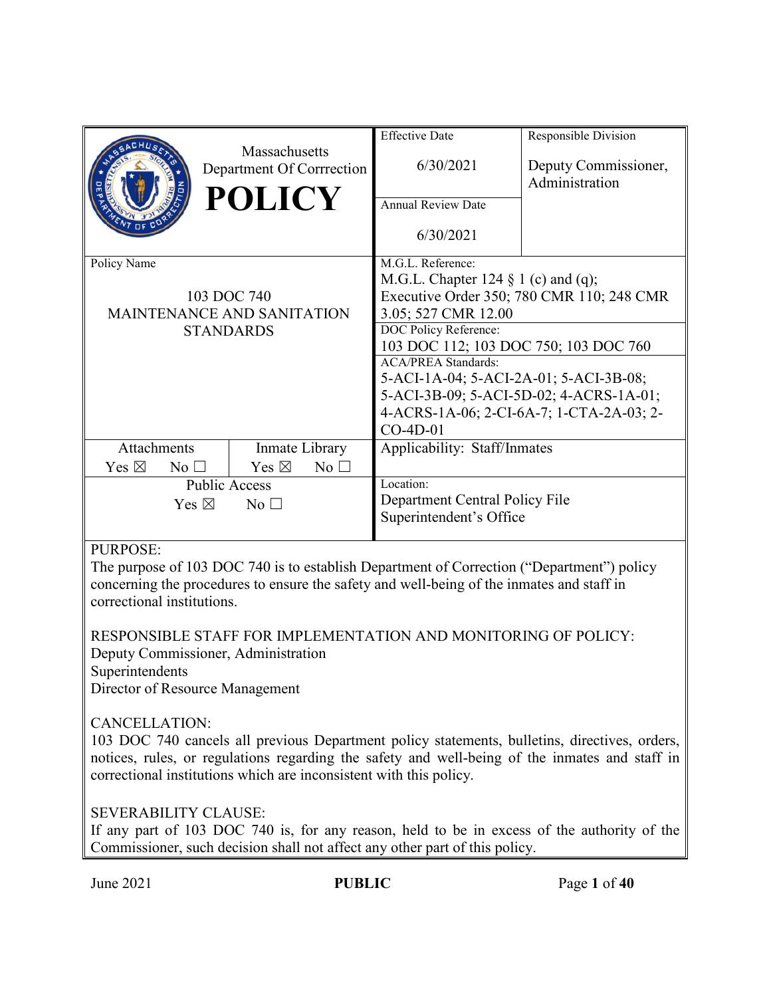|                                                                          | <b>Effective Date</b>                     | Responsible Division                   |
|--------------------------------------------------------------------------|-------------------------------------------|----------------------------------------|
| Massachusetts<br>Department Of Corrrection                               | 6/30/2021                                 | Deputy Commissioner,<br>Administration |
| <b>POLICY</b>                                                            | <b>Annual Review Date</b>                 |                                        |
|                                                                          | 6/30/2021                                 |                                        |
| Policy Name                                                              | M.G.L. Reference:                         |                                        |
|                                                                          | M.G.L. Chapter 124 $\S$ 1 (c) and (q);    |                                        |
| 103 DOC 740                                                              | Executive Order 350; 780 CMR 110; 248 CMR |                                        |
| <b>MAINTENANCE AND SANITATION</b>                                        | 3.05; 527 CMR 12.00                       |                                        |
| <b>STANDARDS</b>                                                         | DOC Policy Reference:                     |                                        |
|                                                                          | 103 DOC 112; 103 DOC 750; 103 DOC 760     |                                        |
|                                                                          | <b>ACA/PREA Standards:</b>                |                                        |
|                                                                          | 5-ACI-1A-04; 5-ACI-2A-01; 5-ACI-3B-08;    |                                        |
|                                                                          | 5-ACI-3B-09; 5-ACI-5D-02; 4-ACRS-1A-01;   |                                        |
|                                                                          | 4-ACRS-1A-06; 2-CI-6A-7; 1-CTA-2A-03; 2-  |                                        |
|                                                                          | $CO-4D-01$                                |                                        |
| Attachments<br>Inmate Library                                            | Applicability: Staff/Inmates              |                                        |
| Yes $\boxtimes$<br>No <sub>1</sub><br>Yes $\boxtimes$<br>No <sub>1</sub> |                                           |                                        |
| <b>Public Access</b>                                                     | Location:                                 |                                        |
| Yes $\boxtimes$<br>$\rm No$ $\Box$                                       | Department Central Policy File            |                                        |
|                                                                          | Superintendent's Office                   |                                        |

### PURPOSE:

The purpose of 103 DOC 740 is to establish Department of Correction ("Department") policy concerning the procedures to ensure the safety and well-being of the inmates and staff in correctional institutions.

RESPONSIBLE STAFF FOR IMPLEMENTATION AND MONITORING OF POLICY: Deputy Commissioner, Administration Superintendents Director of Resource Management

CANCELLATION:

103 DOC 740 cancels all previous Department policy statements, bulletins, directives, orders, notices, rules, or regulations regarding the safety and well-being of the inmates and staff in correctional institutions which are inconsistent with this policy.

SEVERABILITY CLAUSE:

If any part of 103 DOC 740 is, for any reason, held to be in excess of the authority of the Commissioner, such decision shall not affect any other part of this policy.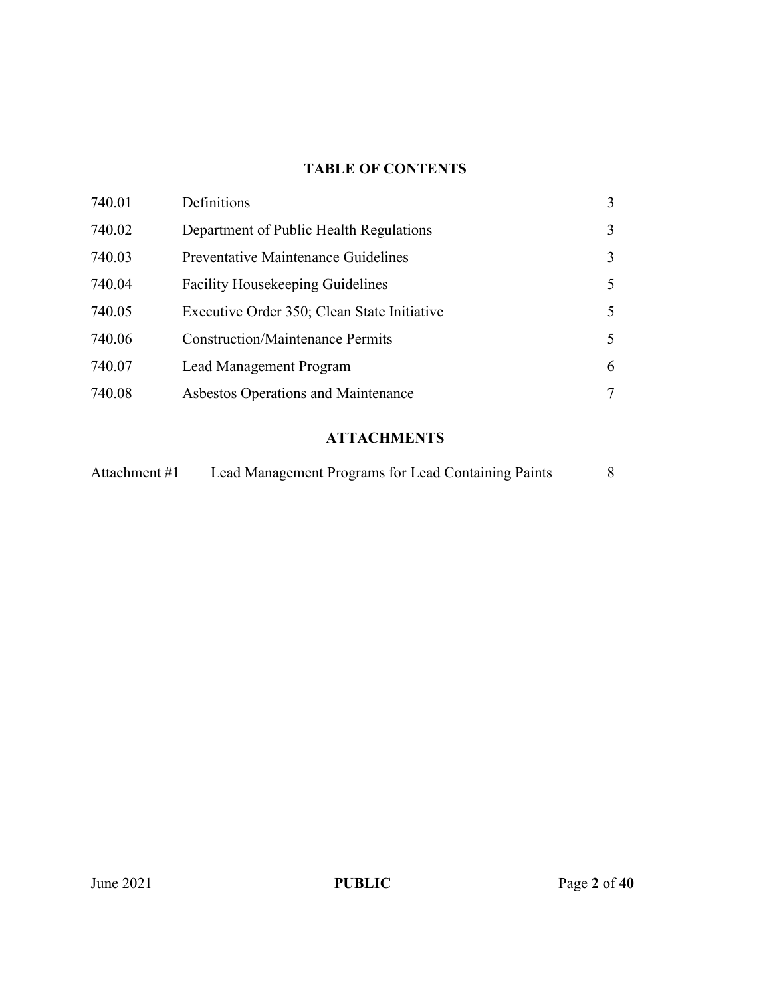## **TABLE OF CONTENTS**

| 740.01 | Definitions                                 | 3 |
|--------|---------------------------------------------|---|
| 740.02 | Department of Public Health Regulations     | 3 |
| 740.03 | Preventative Maintenance Guidelines         | 3 |
| 740.04 | <b>Facility Housekeeping Guidelines</b>     | 5 |
| 740.05 | Executive Order 350; Clean State Initiative | 5 |
| 740.06 | <b>Construction/Maintenance Permits</b>     | 5 |
| 740.07 | Lead Management Program                     | 6 |
| 740.08 | Asbestos Operations and Maintenance         | 7 |

## **ATTACHMENTS**

| Attachment #1 | Lead Management Programs for Lead Containing Paints |  |
|---------------|-----------------------------------------------------|--|
|               |                                                     |  |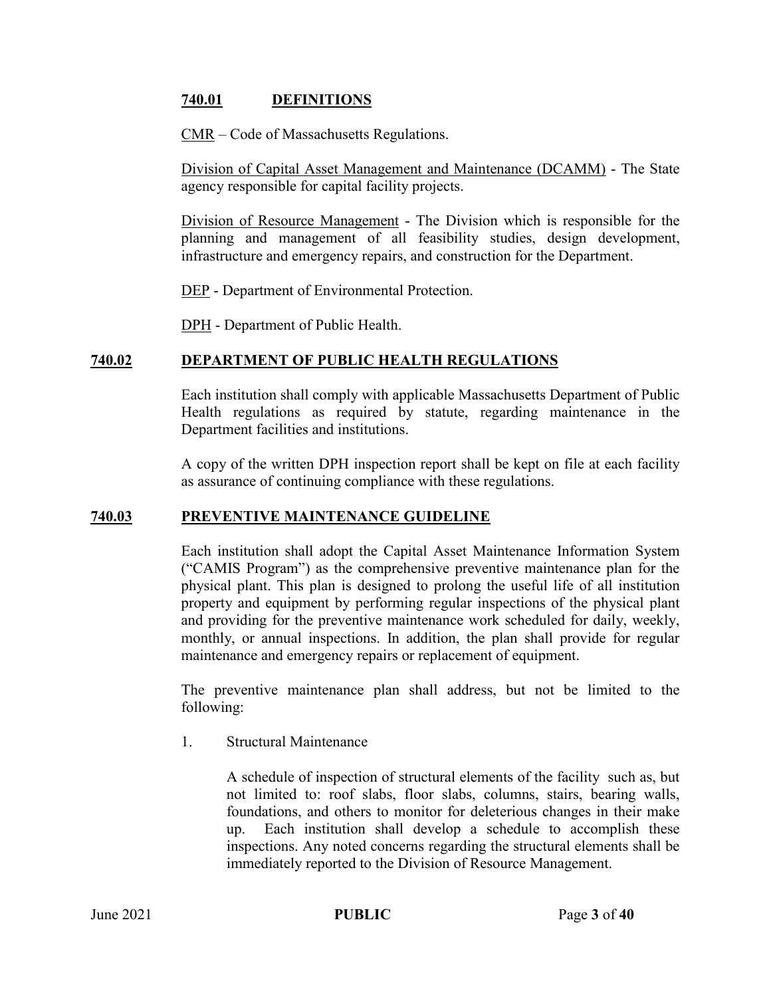### **740.01 DEFINITIONS**

CMR – Code of Massachusetts Regulations.

Division of Capital Asset Management and Maintenance (DCAMM) - The State agency responsible for capital facility projects.

Division of Resource Management - The Division which is responsible for the planning and management of all feasibility studies, design development, infrastructure and emergency repairs, and construction for the Department.

DEP - Department of Environmental Protection.

DPH - Department of Public Health.

### **740.02 DEPARTMENT OF PUBLIC HEALTH REGULATIONS**

Each institution shall comply with applicable Massachusetts Department of Public Health regulations as required by statute, regarding maintenance in the Department facilities and institutions.

A copy of the written DPH inspection report shall be kept on file at each facility as assurance of continuing compliance with these regulations.

#### **740.03 PREVENTIVE MAINTENANCE GUIDELINE**

Each institution shall adopt the Capital Asset Maintenance Information System ("CAMIS Program") as the comprehensive preventive maintenance plan for the physical plant. This plan is designed to prolong the useful life of all institution property and equipment by performing regular inspections of the physical plant and providing for the preventive maintenance work scheduled for daily, weekly, monthly, or annual inspections. In addition, the plan shall provide for regular maintenance and emergency repairs or replacement of equipment.

The preventive maintenance plan shall address, but not be limited to the following:

1. Structural Maintenance

A schedule of inspection of structural elements of the facility such as, but not limited to: roof slabs, floor slabs, columns, stairs, bearing walls, foundations, and others to monitor for deleterious changes in their make up. Each institution shall develop a schedule to accomplish these inspections. Any noted concerns regarding the structural elements shall be immediately reported to the Division of Resource Management.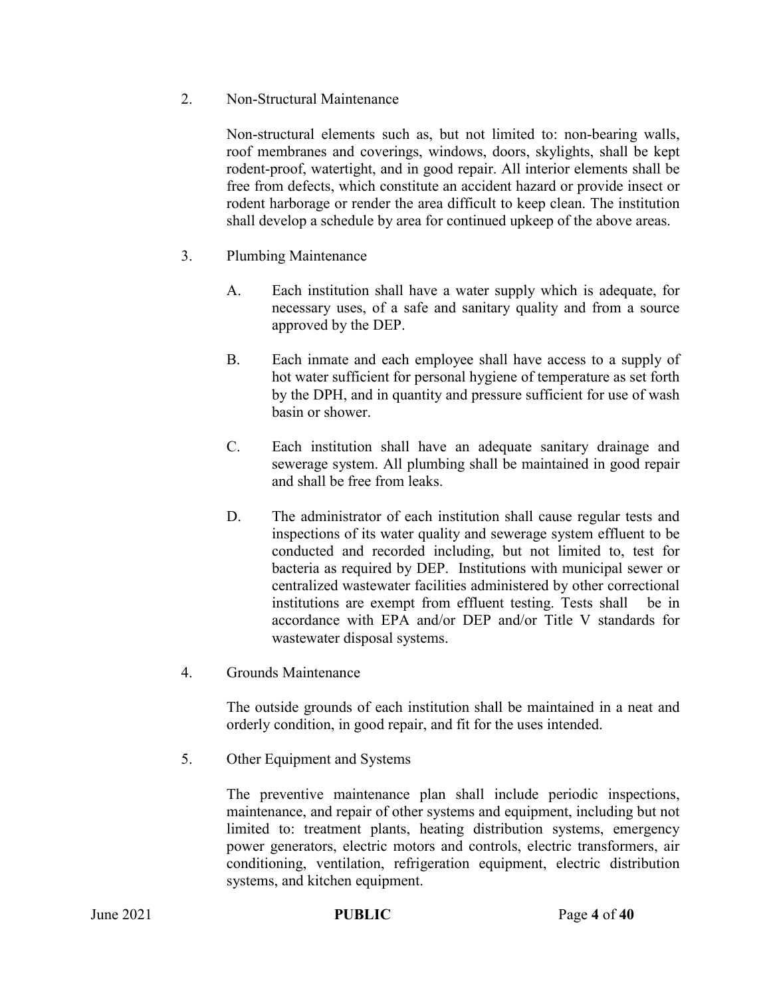2. Non-Structural Maintenance

Non-structural elements such as, but not limited to: non-bearing walls, roof membranes and coverings, windows, doors, skylights, shall be kept rodent-proof, watertight, and in good repair. All interior elements shall be free from defects, which constitute an accident hazard or provide insect or rodent harborage or render the area difficult to keep clean. The institution shall develop a schedule by area for continued upkeep of the above areas.

- 3. Plumbing Maintenance
	- A. Each institution shall have a water supply which is adequate, for necessary uses, of a safe and sanitary quality and from a source approved by the DEP.
	- B. Each inmate and each employee shall have access to a supply of hot water sufficient for personal hygiene of temperature as set forth by the DPH, and in quantity and pressure sufficient for use of wash basin or shower.
	- C. Each institution shall have an adequate sanitary drainage and sewerage system. All plumbing shall be maintained in good repair and shall be free from leaks.
	- D. The administrator of each institution shall cause regular tests and inspections of its water quality and sewerage system effluent to be conducted and recorded including, but not limited to, test for bacteria as required by DEP. Institutions with municipal sewer or centralized wastewater facilities administered by other correctional institutions are exempt from effluent testing. Tests shall be in accordance with EPA and/or DEP and/or Title V standards for wastewater disposal systems.
- 4. Grounds Maintenance

The outside grounds of each institution shall be maintained in a neat and orderly condition, in good repair, and fit for the uses intended.

5. Other Equipment and Systems

The preventive maintenance plan shall include periodic inspections, maintenance, and repair of other systems and equipment, including but not limited to: treatment plants, heating distribution systems, emergency power generators, electric motors and controls, electric transformers, air conditioning, ventilation, refrigeration equipment, electric distribution systems, and kitchen equipment.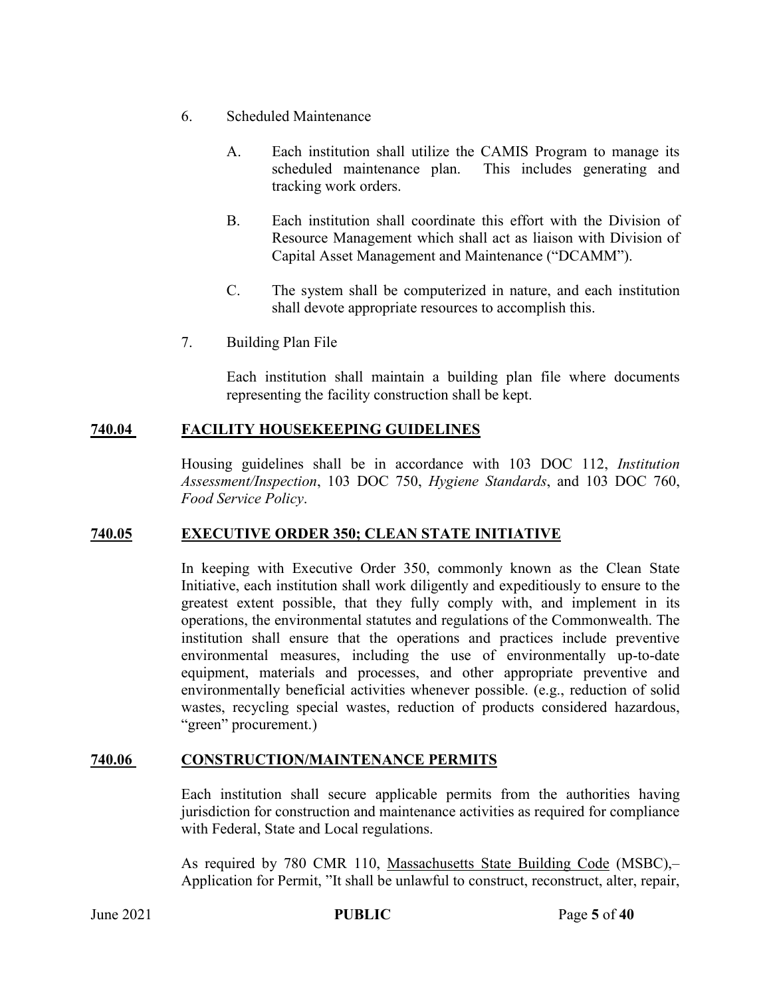- 6. Scheduled Maintenance
	- A. Each institution shall utilize the CAMIS Program to manage its scheduled maintenance plan. This includes generating and tracking work orders.
	- B. Each institution shall coordinate this effort with the Division of Resource Management which shall act as liaison with Division of Capital Asset Management and Maintenance ("DCAMM").
	- C. The system shall be computerized in nature, and each institution shall devote appropriate resources to accomplish this.
- 7. Building Plan File

Each institution shall maintain a building plan file where documents representing the facility construction shall be kept.

### **740.04 FACILITY HOUSEKEEPING GUIDELINES**

Housing guidelines shall be in accordance with 103 DOC 112, *Institution Assessment/Inspection*, 103 DOC 750, *Hygiene Standards*, and 103 DOC 760, *Food Service Policy*.

#### **740.05 EXECUTIVE ORDER 350; CLEAN STATE INITIATIVE**

In keeping with Executive Order 350, commonly known as the Clean State Initiative, each institution shall work diligently and expeditiously to ensure to the greatest extent possible, that they fully comply with, and implement in its operations, the environmental statutes and regulations of the Commonwealth. The institution shall ensure that the operations and practices include preventive environmental measures, including the use of environmentally up-to-date equipment, materials and processes, and other appropriate preventive and environmentally beneficial activities whenever possible. (e.g., reduction of solid wastes, recycling special wastes, reduction of products considered hazardous, "green" procurement.)

#### **740.06 CONSTRUCTION/MAINTENANCE PERMITS**

Each institution shall secure applicable permits from the authorities having jurisdiction for construction and maintenance activities as required for compliance with Federal, State and Local regulations.

As required by 780 CMR 110, Massachusetts State Building Code (MSBC),– Application for Permit, "It shall be unlawful to construct, reconstruct, alter, repair,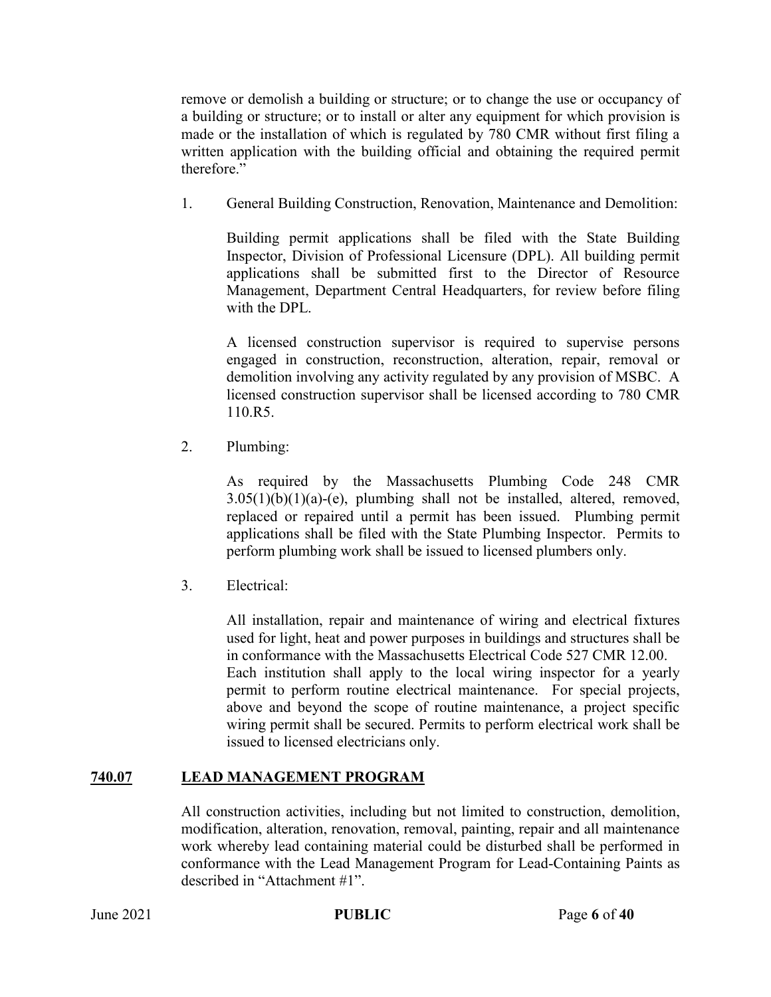remove or demolish a building or structure; or to change the use or occupancy of a building or structure; or to install or alter any equipment for which provision is made or the installation of which is regulated by 780 CMR without first filing a written application with the building official and obtaining the required permit therefore."

1. General Building Construction, Renovation, Maintenance and Demolition:

Building permit applications shall be filed with the State Building Inspector, Division of Professional Licensure (DPL). All building permit applications shall be submitted first to the Director of Resource Management, Department Central Headquarters, for review before filing with the DPL.

A licensed construction supervisor is required to supervise persons engaged in construction, reconstruction, alteration, repair, removal or demolition involving any activity regulated by any provision of MSBC. A licensed construction supervisor shall be licensed according to 780 CMR 110.R5.

2. Plumbing:

As required by the Massachusetts Plumbing Code 248 CMR  $3.05(1)(b)(1)(a)-(e)$ , plumbing shall not be installed, altered, removed, replaced or repaired until a permit has been issued. Plumbing permit applications shall be filed with the State Plumbing Inspector. Permits to perform plumbing work shall be issued to licensed plumbers only.

3. Electrical:

All installation, repair and maintenance of wiring and electrical fixtures used for light, heat and power purposes in buildings and structures shall be in conformance with the Massachusetts Electrical Code 527 CMR 12.00. Each institution shall apply to the local wiring inspector for a yearly permit to perform routine electrical maintenance. For special projects, above and beyond the scope of routine maintenance, a project specific wiring permit shall be secured. Permits to perform electrical work shall be issued to licensed electricians only.

#### **740.07 LEAD MANAGEMENT PROGRAM**

All construction activities, including but not limited to construction, demolition, modification, alteration, renovation, removal, painting, repair and all maintenance work whereby lead containing material could be disturbed shall be performed in conformance with the Lead Management Program for Lead-Containing Paints as described in "Attachment #1".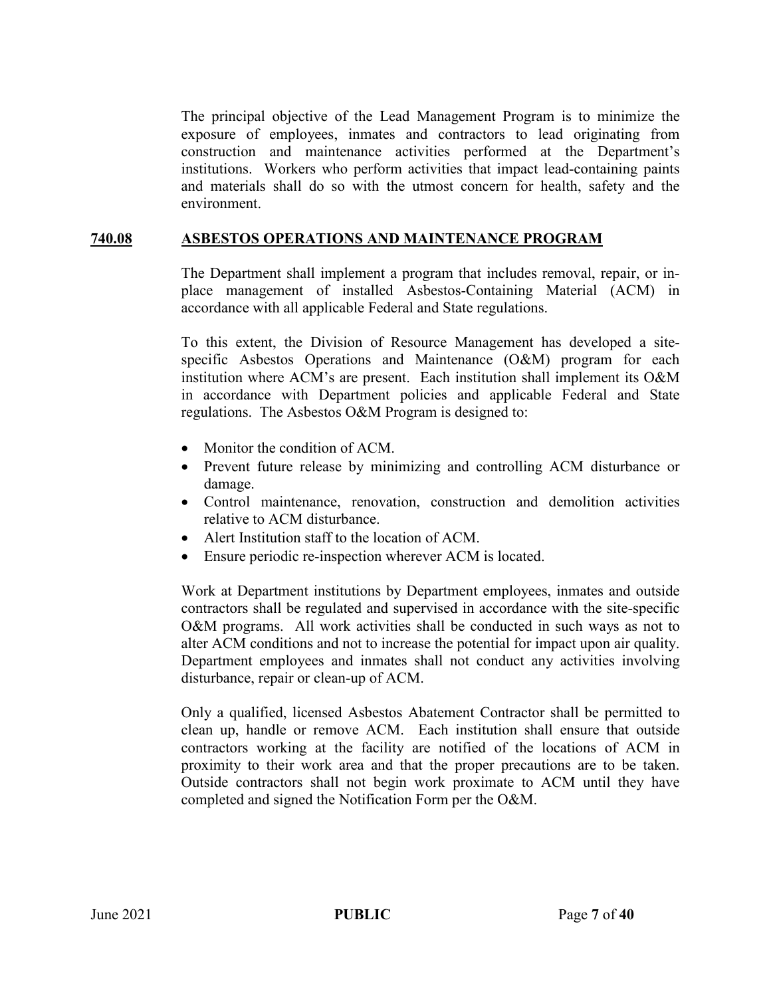The principal objective of the Lead Management Program is to minimize the exposure of employees, inmates and contractors to lead originating from construction and maintenance activities performed at the Department's institutions. Workers who perform activities that impact lead-containing paints and materials shall do so with the utmost concern for health, safety and the environment.

#### **740.08 ASBESTOS OPERATIONS AND MAINTENANCE PROGRAM**

The Department shall implement a program that includes removal, repair, or inplace management of installed Asbestos-Containing Material (ACM) in accordance with all applicable Federal and State regulations.

To this extent, the Division of Resource Management has developed a sitespecific Asbestos Operations and Maintenance (O&M) program for each institution where ACM's are present. Each institution shall implement its O&M in accordance with Department policies and applicable Federal and State regulations. The Asbestos O&M Program is designed to:

- Monitor the condition of ACM.
- Prevent future release by minimizing and controlling ACM disturbance or damage.
- Control maintenance, renovation, construction and demolition activities relative to ACM disturbance.
- Alert Institution staff to the location of ACM.
- Ensure periodic re-inspection wherever ACM is located.

Work at Department institutions by Department employees, inmates and outside contractors shall be regulated and supervised in accordance with the site-specific O&M programs. All work activities shall be conducted in such ways as not to alter ACM conditions and not to increase the potential for impact upon air quality. Department employees and inmates shall not conduct any activities involving disturbance, repair or clean-up of ACM.

Only a qualified, licensed Asbestos Abatement Contractor shall be permitted to clean up, handle or remove ACM. Each institution shall ensure that outside contractors working at the facility are notified of the locations of ACM in proximity to their work area and that the proper precautions are to be taken. Outside contractors shall not begin work proximate to ACM until they have completed and signed the Notification Form per the O&M.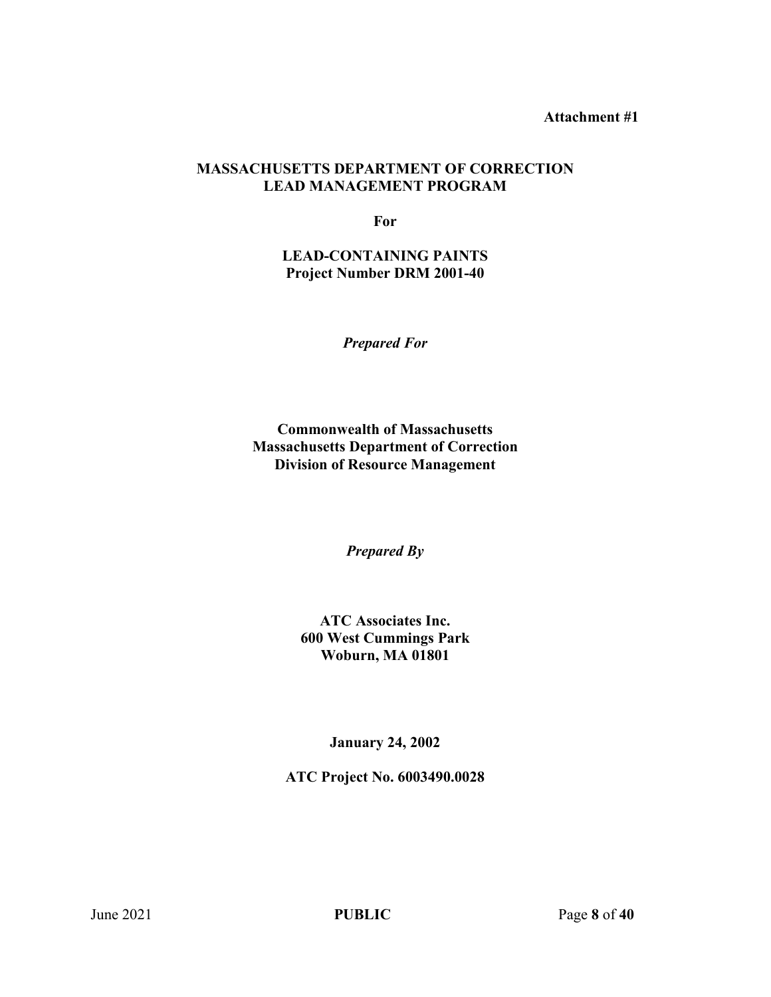#### **Attachment #1**

#### **MASSACHUSETTS DEPARTMENT OF CORRECTION LEAD MANAGEMENT PROGRAM**

**For**

**LEAD-CONTAINING PAINTS Project Number DRM 2001-40**

*Prepared For*

**Commonwealth of Massachusetts Massachusetts Department of Correction Division of Resource Management**

*Prepared By*

**ATC Associates Inc. 600 West Cummings Park Woburn, MA 01801**

**January 24, 2002**

**ATC Project No. 6003490.0028**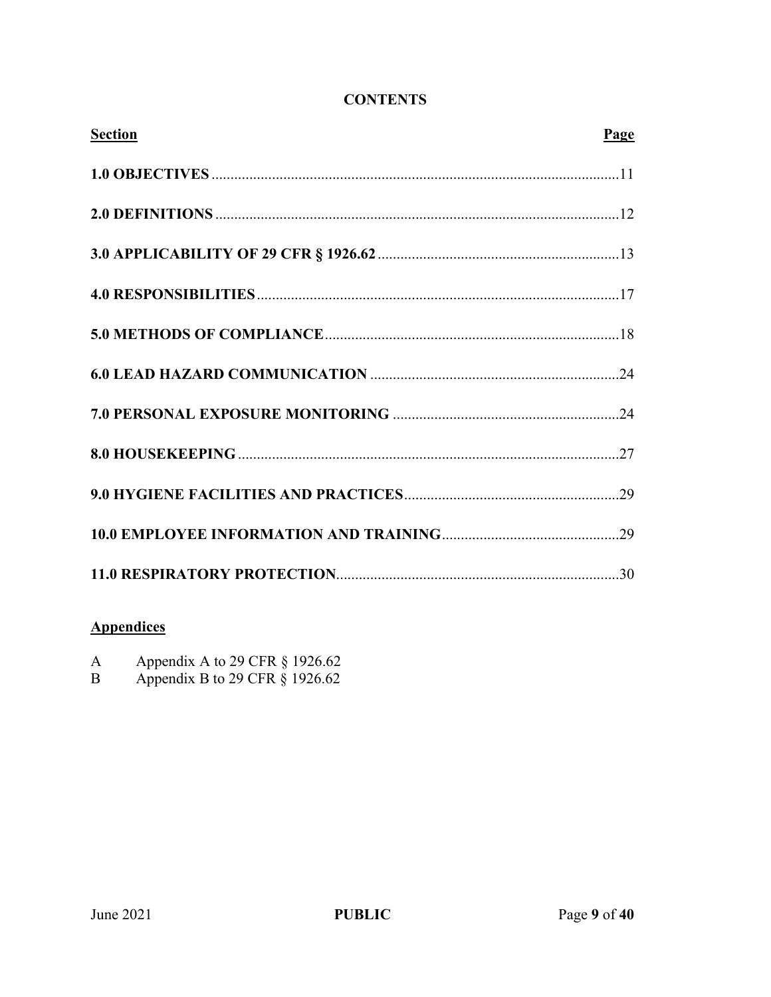| <b>Section</b> | <b>Page</b> |
|----------------|-------------|
|                |             |
|                |             |
|                |             |
|                |             |
|                |             |
|                |             |
|                |             |
|                |             |
|                |             |
|                |             |
|                |             |

## **CONTENTS**

# **Appendices**

- Appendix A to 29 CFR § 1926.62<br>Appendix B to 29 CFR § 1926.62  $\bf{A}$
- $\, {\bf B}$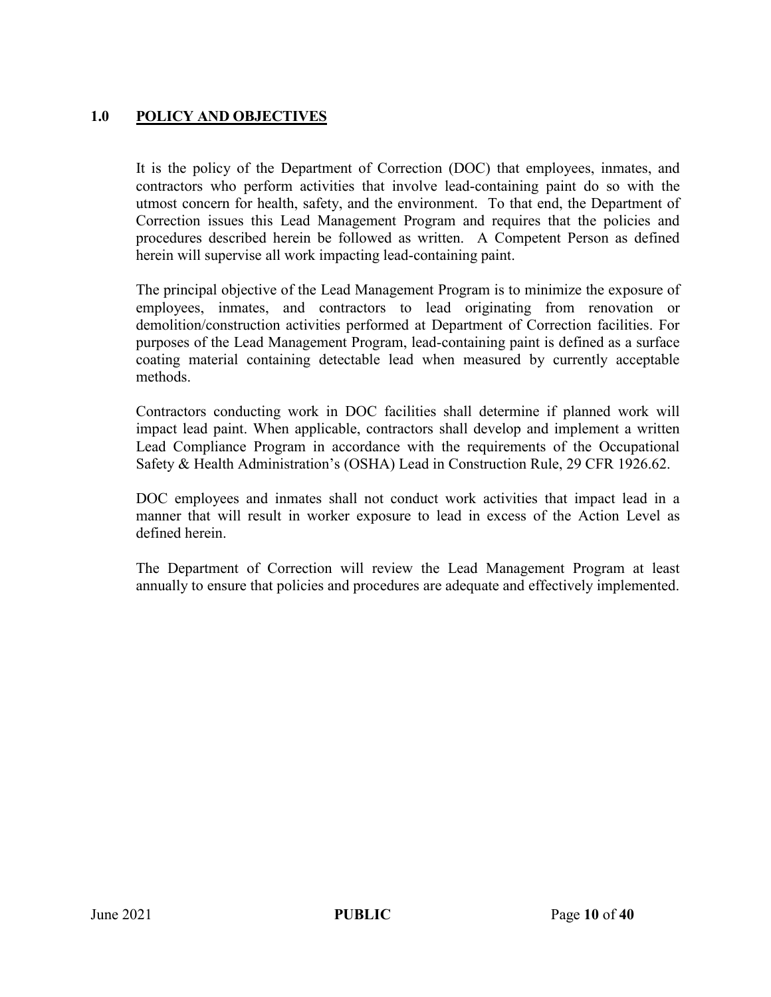## **1.0 POLICY AND OBJECTIVES**

It is the policy of the Department of Correction (DOC) that employees, inmates, and contractors who perform activities that involve lead-containing paint do so with the utmost concern for health, safety, and the environment. To that end, the Department of Correction issues this Lead Management Program and requires that the policies and procedures described herein be followed as written. A Competent Person as defined herein will supervise all work impacting lead-containing paint.

The principal objective of the Lead Management Program is to minimize the exposure of employees, inmates, and contractors to lead originating from renovation or demolition/construction activities performed at Department of Correction facilities. For purposes of the Lead Management Program, lead-containing paint is defined as a surface coating material containing detectable lead when measured by currently acceptable methods.

Contractors conducting work in DOC facilities shall determine if planned work will impact lead paint. When applicable, contractors shall develop and implement a written Lead Compliance Program in accordance with the requirements of the Occupational Safety & Health Administration's (OSHA) Lead in Construction Rule, 29 CFR 1926.62.

DOC employees and inmates shall not conduct work activities that impact lead in a manner that will result in worker exposure to lead in excess of the Action Level as defined herein.

The Department of Correction will review the Lead Management Program at least annually to ensure that policies and procedures are adequate and effectively implemented.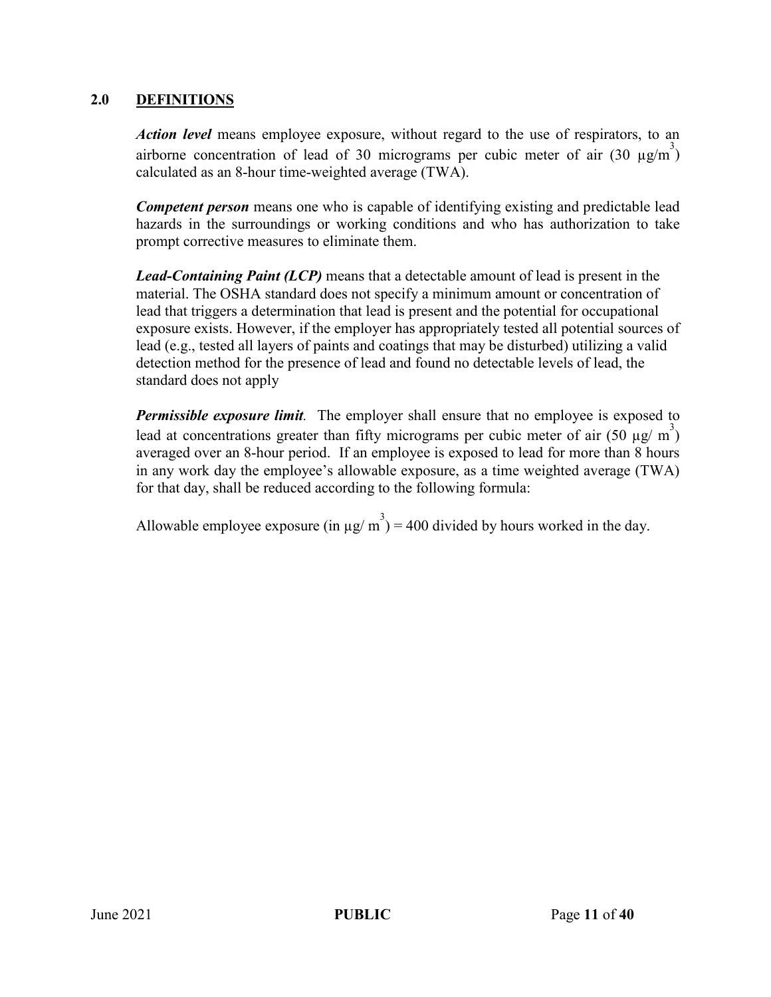#### **2.0 DEFINITIONS**

*Action level* means employee exposure, without regard to the use of respirators, to an airborne concentration of lead of 30 micrograms per cubic meter of air  $(30 \mu g/m^3)$ calculated as an 8-hour time-weighted average (TWA).

*Competent person* means one who is capable of identifying existing and predictable lead hazards in the surroundings or working conditions and who has authorization to take prompt corrective measures to eliminate them.

*Lead-Containing Paint (LCP)* means that a detectable amount of lead is present in the material. The OSHA standard does not specify a minimum amount or concentration of lead that triggers a determination that lead is present and the potential for occupational exposure exists. However, if the employer has appropriately tested all potential sources of lead (e.g., tested all layers of paints and coatings that may be disturbed) utilizing a valid detection method for the presence of lead and found no detectable levels of lead, the standard does not apply

*Permissible exposure limit.* The employer shall ensure that no employee is exposed to lead at concentrations greater than fifty micrograms per cubic meter of air  $(50 \text{ µg/m}^3)$ averaged over an 8-hour period. If an employee is exposed to lead for more than 8 hours in any work day the employee's allowable exposure, as a time weighted average (TWA) for that day, shall be reduced according to the following formula:

Allowable employee exposure (in  $\mu$ g/ m<sup>3</sup>) = 400 divided by hours worked in the day.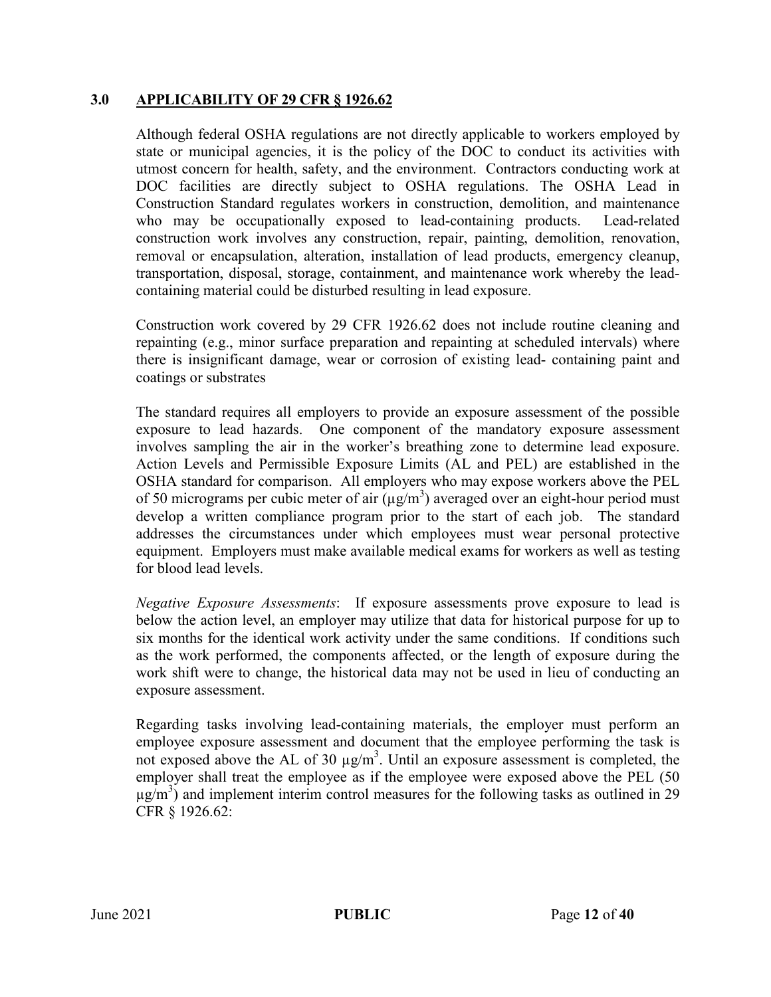#### **3.0 APPLICABILITY OF 29 CFR § 1926.62**

Although federal OSHA regulations are not directly applicable to workers employed by state or municipal agencies, it is the policy of the DOC to conduct its activities with utmost concern for health, safety, and the environment. Contractors conducting work at DOC facilities are directly subject to OSHA regulations. The OSHA Lead in Construction Standard regulates workers in construction, demolition, and maintenance who may be occupationally exposed to lead-containing products. Lead-related construction work involves any construction, repair, painting, demolition, renovation, removal or encapsulation, alteration, installation of lead products, emergency cleanup, transportation, disposal, storage, containment, and maintenance work whereby the leadcontaining material could be disturbed resulting in lead exposure.

Construction work covered by 29 CFR 1926.62 does not include routine cleaning and repainting (e.g., minor surface preparation and repainting at scheduled intervals) where there is insignificant damage, wear or corrosion of existing lead- containing paint and coatings or substrates

The standard requires all employers to provide an exposure assessment of the possible exposure to lead hazards. One component of the mandatory exposure assessment involves sampling the air in the worker's breathing zone to determine lead exposure. Action Levels and Permissible Exposure Limits (AL and PEL) are established in the OSHA standard for comparison. All employers who may expose workers above the PEL of 50 micrograms per cubic meter of air  $(\mu g/m^3)$  averaged over an eight-hour period must develop a written compliance program prior to the start of each job. The standard addresses the circumstances under which employees must wear personal protective equipment. Employers must make available medical exams for workers as well as testing for blood lead levels.

*Negative Exposure Assessments*: If exposure assessments prove exposure to lead is below the action level, an employer may utilize that data for historical purpose for up to six months for the identical work activity under the same conditions. If conditions such as the work performed, the components affected, or the length of exposure during the work shift were to change, the historical data may not be used in lieu of conducting an exposure assessment.

Regarding tasks involving lead-containing materials, the employer must perform an employee exposure assessment and document that the employee performing the task is not exposed above the AL of 30  $\mu$ g/m<sup>3</sup>. Until an exposure assessment is completed, the employer shall treat the employee as if the employee were exposed above the PEL (50)  $\mu g/m^3$ ) and implement interim control measures for the following tasks as outlined in 29 CFR § 1926.62: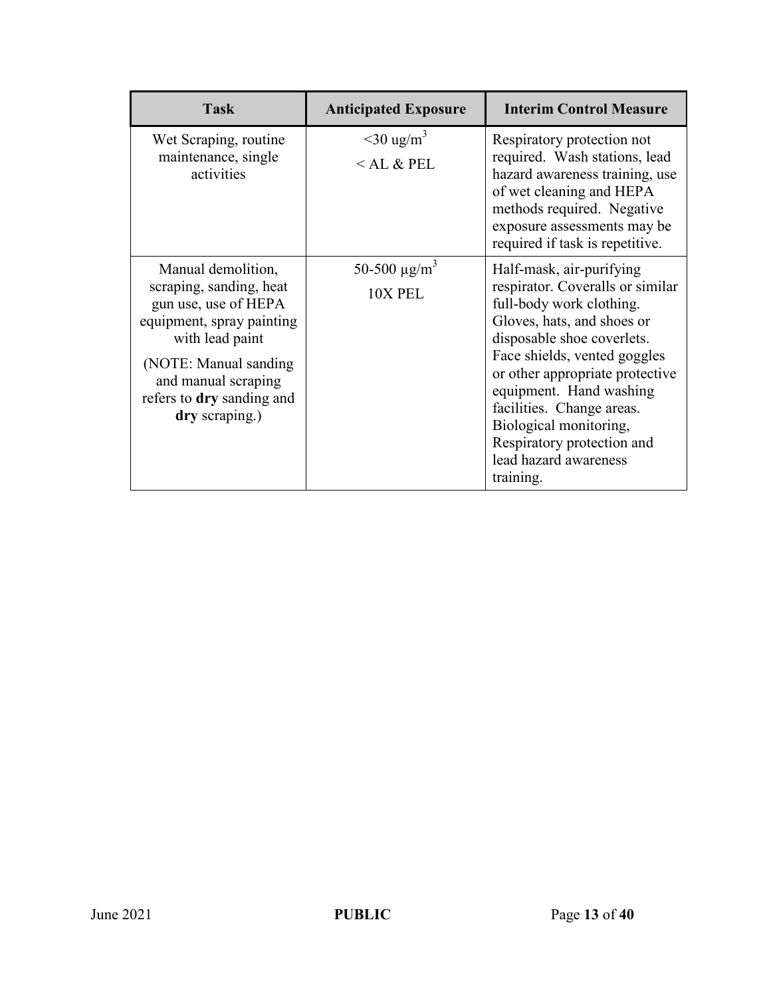| <b>Task</b>                                                                                                                                                                                                          | <b>Anticipated Exposure</b>              | <b>Interim Control Measure</b>                                                                                                                                                                                                                                                                                                                                                |
|----------------------------------------------------------------------------------------------------------------------------------------------------------------------------------------------------------------------|------------------------------------------|-------------------------------------------------------------------------------------------------------------------------------------------------------------------------------------------------------------------------------------------------------------------------------------------------------------------------------------------------------------------------------|
| Wet Scraping, routine<br>maintenance, single<br>activities                                                                                                                                                           | $<$ 30 ug/m <sup>3</sup><br>$<$ AL & PEL | Respiratory protection not<br>required. Wash stations, lead<br>hazard awareness training, use<br>of wet cleaning and HEPA<br>methods required. Negative<br>exposure assessments may be<br>required if task is repetitive.                                                                                                                                                     |
| Manual demolition,<br>scraping, sanding, heat<br>gun use, use of HEPA<br>equipment, spray painting<br>with lead paint<br>(NOTE: Manual sanding<br>and manual scraping<br>refers to dry sanding and<br>dry scraping.) | 50-500 $\mu$ g/m <sup>3</sup><br>10X PEL | Half-mask, air-purifying<br>respirator. Coveralls or similar<br>full-body work clothing.<br>Gloves, hats, and shoes or<br>disposable shoe coverlets.<br>Face shields, vented goggles<br>or other appropriate protective<br>equipment. Hand washing<br>facilities. Change areas.<br>Biological monitoring,<br>Respiratory protection and<br>lead hazard awareness<br>training. |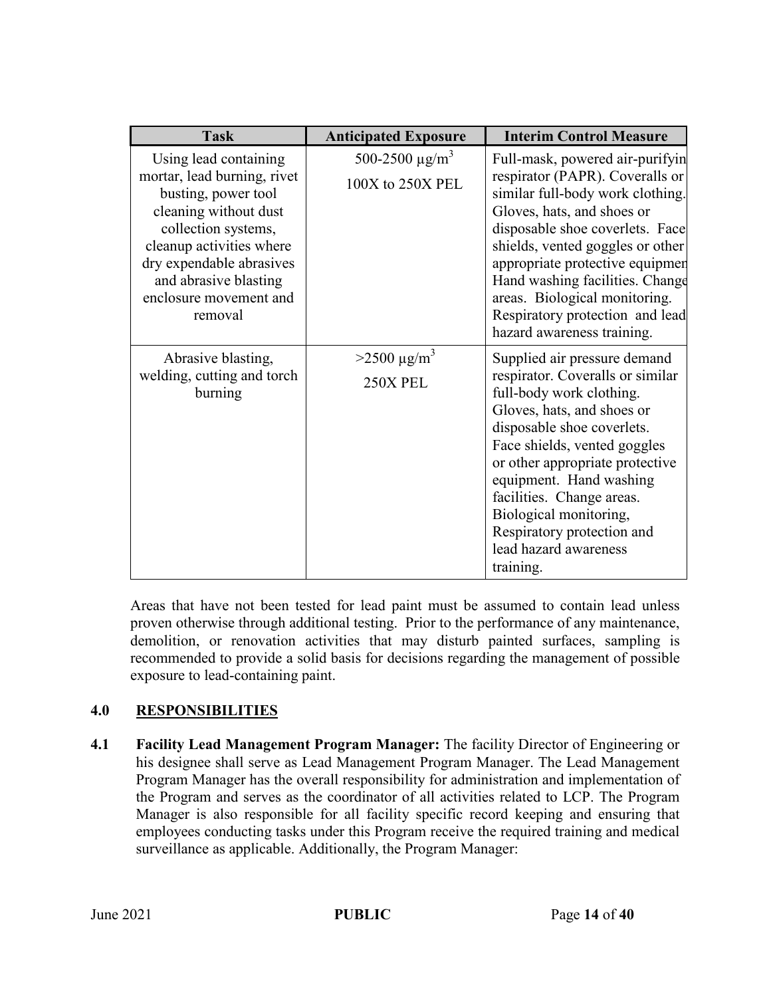| <b>Task</b>                                                                                                                                                                                                                                       | <b>Anticipated Exposure</b>                         | <b>Interim Control Measure</b>                                                                                                                                                                                                                                                                                                                                                      |
|---------------------------------------------------------------------------------------------------------------------------------------------------------------------------------------------------------------------------------------------------|-----------------------------------------------------|-------------------------------------------------------------------------------------------------------------------------------------------------------------------------------------------------------------------------------------------------------------------------------------------------------------------------------------------------------------------------------------|
| Using lead containing<br>mortar, lead burning, rivet<br>busting, power tool<br>cleaning without dust<br>collection systems,<br>cleanup activities where<br>dry expendable abrasives<br>and abrasive blasting<br>enclosure movement and<br>removal | 500-2500 $\mu$ g/m <sup>3</sup><br>100X to 250X PEL | Full-mask, powered air-purifyin<br>respirator (PAPR). Coveralls or<br>similar full-body work clothing.<br>Gloves, hats, and shoes or<br>disposable shoe coverlets. Face<br>shields, vented goggles or other<br>appropriate protective equipmer<br>Hand washing facilities. Change<br>areas. Biological monitoring.<br>Respiratory protection and lead<br>hazard awareness training. |
| Abrasive blasting,<br>welding, cutting and torch<br>burning                                                                                                                                                                                       | $>2500 \mu g/m^3$<br><b>250X PEL</b>                | Supplied air pressure demand<br>respirator. Coveralls or similar<br>full-body work clothing.<br>Gloves, hats, and shoes or<br>disposable shoe coverlets.<br>Face shields, vented goggles<br>or other appropriate protective<br>equipment. Hand washing<br>facilities. Change areas.<br>Biological monitoring,<br>Respiratory protection and<br>lead hazard awareness<br>training.   |

Areas that have not been tested for lead paint must be assumed to contain lead unless proven otherwise through additional testing. Prior to the performance of any maintenance, demolition, or renovation activities that may disturb painted surfaces, sampling is recommended to provide a solid basis for decisions regarding the management of possible exposure to lead-containing paint.

## **4.0 RESPONSIBILITIES**

**4.1 Facility Lead Management Program Manager:** The facility Director of Engineering or his designee shall serve as Lead Management Program Manager. The Lead Management Program Manager has the overall responsibility for administration and implementation of the Program and serves as the coordinator of all activities related to LCP. The Program Manager is also responsible for all facility specific record keeping and ensuring that employees conducting tasks under this Program receive the required training and medical surveillance as applicable. Additionally, the Program Manager: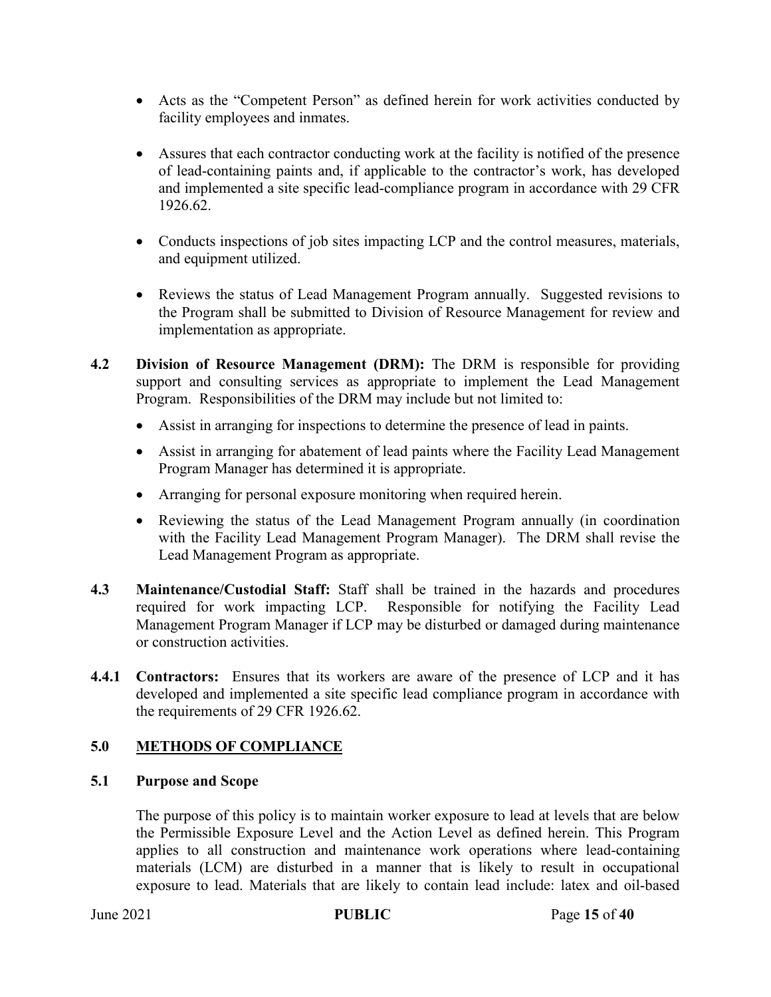- Acts as the "Competent Person" as defined herein for work activities conducted by facility employees and inmates.
- Assures that each contractor conducting work at the facility is notified of the presence of lead-containing paints and, if applicable to the contractor's work, has developed and implemented a site specific lead-compliance program in accordance with 29 CFR 1926.62.
- Conducts inspections of job sites impacting LCP and the control measures, materials, and equipment utilized.
- Reviews the status of Lead Management Program annually. Suggested revisions to the Program shall be submitted to Division of Resource Management for review and implementation as appropriate.
- **4.2 Division of Resource Management (DRM):** The DRM is responsible for providing support and consulting services as appropriate to implement the Lead Management Program. Responsibilities of the DRM may include but not limited to:
	- Assist in arranging for inspections to determine the presence of lead in paints.
	- Assist in arranging for abatement of lead paints where the Facility Lead Management Program Manager has determined it is appropriate.
	- Arranging for personal exposure monitoring when required herein.
	- Reviewing the status of the Lead Management Program annually (in coordination with the Facility Lead Management Program Manager). The DRM shall revise the Lead Management Program as appropriate.
- **4.3 Maintenance/Custodial Staff:** Staff shall be trained in the hazards and procedures required for work impacting LCP. Responsible for notifying the Facility Lead Management Program Manager if LCP may be disturbed or damaged during maintenance or construction activities.
- **4.4.1 Contractors:** Ensures that its workers are aware of the presence of LCP and it has developed and implemented a site specific lead compliance program in accordance with the requirements of 29 CFR 1926.62.

## **5.0 METHODS OF COMPLIANCE**

#### **5.1 Purpose and Scope**

The purpose of this policy is to maintain worker exposure to lead at levels that are below the Permissible Exposure Level and the Action Level as defined herein. This Program applies to all construction and maintenance work operations where lead-containing materials (LCM) are disturbed in a manner that is likely to result in occupational exposure to lead. Materials that are likely to contain lead include: latex and oil-based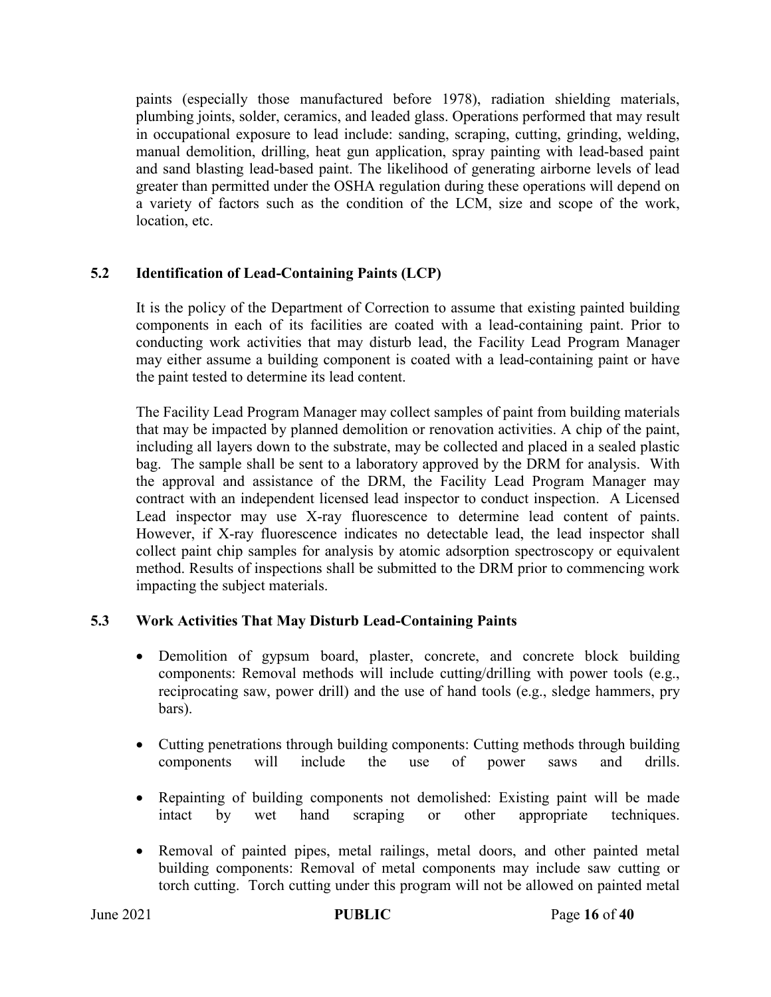paints (especially those manufactured before 1978), radiation shielding materials, plumbing joints, solder, ceramics, and leaded glass. Operations performed that may result in occupational exposure to lead include: sanding, scraping, cutting, grinding, welding, manual demolition, drilling, heat gun application, spray painting with lead-based paint and sand blasting lead-based paint. The likelihood of generating airborne levels of lead greater than permitted under the OSHA regulation during these operations will depend on a variety of factors such as the condition of the LCM, size and scope of the work, location, etc.

### **5.2 Identification of Lead-Containing Paints (LCP)**

It is the policy of the Department of Correction to assume that existing painted building components in each of its facilities are coated with a lead-containing paint. Prior to conducting work activities that may disturb lead, the Facility Lead Program Manager may either assume a building component is coated with a lead-containing paint or have the paint tested to determine its lead content.

The Facility Lead Program Manager may collect samples of paint from building materials that may be impacted by planned demolition or renovation activities. A chip of the paint, including all layers down to the substrate, may be collected and placed in a sealed plastic bag. The sample shall be sent to a laboratory approved by the DRM for analysis. With the approval and assistance of the DRM, the Facility Lead Program Manager may contract with an independent licensed lead inspector to conduct inspection. A Licensed Lead inspector may use X-ray fluorescence to determine lead content of paints. However, if X-ray fluorescence indicates no detectable lead, the lead inspector shall collect paint chip samples for analysis by atomic adsorption spectroscopy or equivalent method. Results of inspections shall be submitted to the DRM prior to commencing work impacting the subject materials.

#### **5.3 Work Activities That May Disturb Lead-Containing Paints**

- Demolition of gypsum board, plaster, concrete, and concrete block building components: Removal methods will include cutting/drilling with power tools (e.g., reciprocating saw, power drill) and the use of hand tools (e.g., sledge hammers, pry bars).
- Cutting penetrations through building components: Cutting methods through building components will include the use of power saws and drills.
- Repainting of building components not demolished: Existing paint will be made intact by wet hand scraping or other appropriate techniques.
- Removal of painted pipes, metal railings, metal doors, and other painted metal building components: Removal of metal components may include saw cutting or torch cutting. Torch cutting under this program will not be allowed on painted metal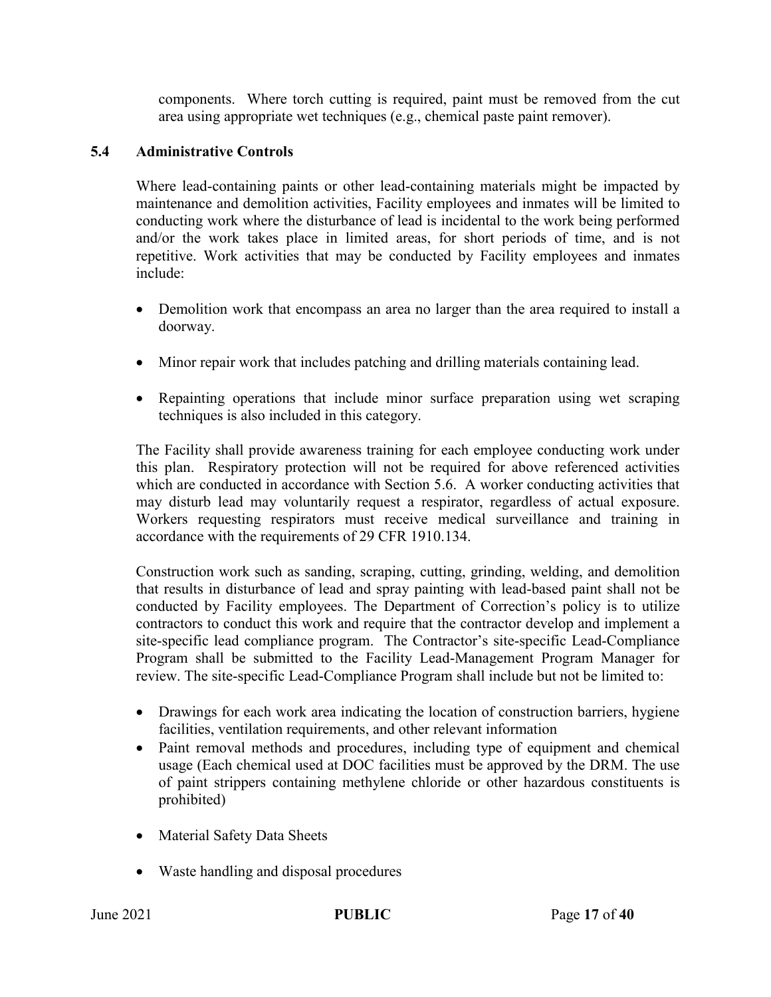components. Where torch cutting is required, paint must be removed from the cut area using appropriate wet techniques (e.g., chemical paste paint remover).

### **5.4 Administrative Controls**

Where lead-containing paints or other lead-containing materials might be impacted by maintenance and demolition activities, Facility employees and inmates will be limited to conducting work where the disturbance of lead is incidental to the work being performed and/or the work takes place in limited areas, for short periods of time, and is not repetitive. Work activities that may be conducted by Facility employees and inmates include:

- Demolition work that encompass an area no larger than the area required to install a doorway.
- Minor repair work that includes patching and drilling materials containing lead.
- Repainting operations that include minor surface preparation using wet scraping techniques is also included in this category.

The Facility shall provide awareness training for each employee conducting work under this plan. Respiratory protection will not be required for above referenced activities which are conducted in accordance with Section 5.6. A worker conducting activities that may disturb lead may voluntarily request a respirator, regardless of actual exposure. Workers requesting respirators must receive medical surveillance and training in accordance with the requirements of 29 CFR 1910.134.

Construction work such as sanding, scraping, cutting, grinding, welding, and demolition that results in disturbance of lead and spray painting with lead-based paint shall not be conducted by Facility employees. The Department of Correction's policy is to utilize contractors to conduct this work and require that the contractor develop and implement a site-specific lead compliance program. The Contractor's site-specific Lead-Compliance Program shall be submitted to the Facility Lead-Management Program Manager for review. The site-specific Lead-Compliance Program shall include but not be limited to:

- Drawings for each work area indicating the location of construction barriers, hygiene facilities, ventilation requirements, and other relevant information
- Paint removal methods and procedures, including type of equipment and chemical usage (Each chemical used at DOC facilities must be approved by the DRM. The use of paint strippers containing methylene chloride or other hazardous constituents is prohibited)
- Material Safety Data Sheets
- Waste handling and disposal procedures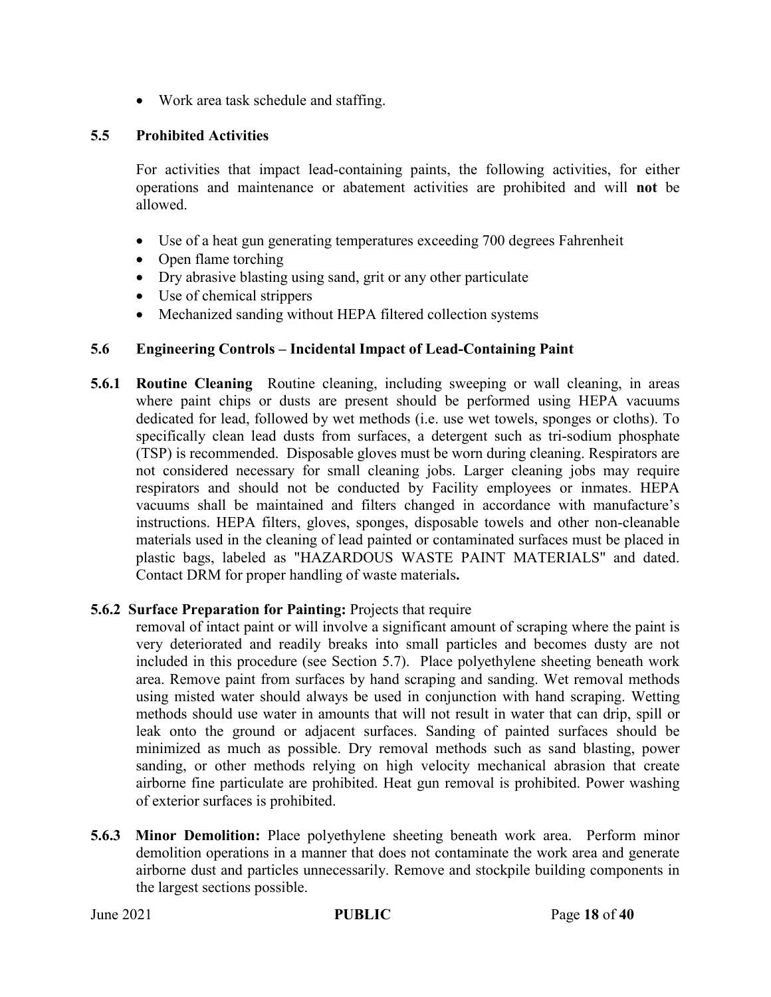• Work area task schedule and staffing.

### **5.5 Prohibited Activities**

For activities that impact lead-containing paints, the following activities, for either operations and maintenance or abatement activities are prohibited and will **not** be allowed.

- Use of a heat gun generating temperatures exceeding 700 degrees Fahrenheit
- Open flame torching
- Dry abrasive blasting using sand, grit or any other particulate
- Use of chemical strippers
- Mechanized sanding without HEPA filtered collection systems

### **5.6 Engineering Controls – Incidental Impact of Lead-Containing Paint**

**5.6.1 Routine Cleaning** Routine cleaning, including sweeping or wall cleaning, in areas where paint chips or dusts are present should be performed using HEPA vacuums dedicated for lead, followed by wet methods (i.e. use wet towels, sponges or cloths). To specifically clean lead dusts from surfaces, a detergent such as tri-sodium phosphate (TSP) is recommended. Disposable gloves must be worn during cleaning. Respirators are not considered necessary for small cleaning jobs. Larger cleaning jobs may require respirators and should not be conducted by Facility employees or inmates. HEPA vacuums shall be maintained and filters changed in accordance with manufacture's instructions. HEPA filters, gloves, sponges, disposable towels and other non-cleanable materials used in the cleaning of lead painted or contaminated surfaces must be placed in plastic bags, labeled as "HAZARDOUS WASTE PAINT MATERIALS" and dated. Contact DRM for proper handling of waste materials**.** 

## **5.6.2 Surface Preparation for Painting:** Projects that require

removal of intact paint or will involve a significant amount of scraping where the paint is very deteriorated and readily breaks into small particles and becomes dusty are not included in this procedure (see Section 5.7). Place polyethylene sheeting beneath work area. Remove paint from surfaces by hand scraping and sanding. Wet removal methods using misted water should always be used in conjunction with hand scraping. Wetting methods should use water in amounts that will not result in water that can drip, spill or leak onto the ground or adjacent surfaces. Sanding of painted surfaces should be minimized as much as possible. Dry removal methods such as sand blasting, power sanding, or other methods relying on high velocity mechanical abrasion that create airborne fine particulate are prohibited. Heat gun removal is prohibited. Power washing of exterior surfaces is prohibited.

**5.6.3 Minor Demolition:** Place polyethylene sheeting beneath work area. Perform minor demolition operations in a manner that does not contaminate the work area and generate airborne dust and particles unnecessarily. Remove and stockpile building components in the largest sections possible.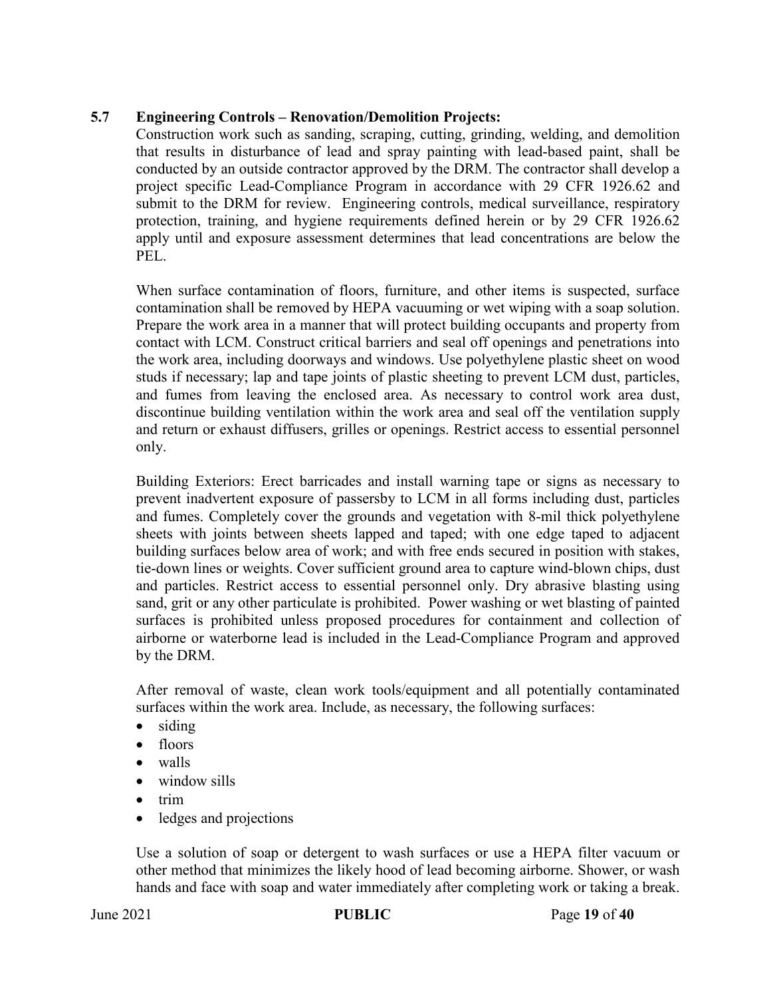## **5.7 Engineering Controls – Renovation/Demolition Projects:**

Construction work such as sanding, scraping, cutting, grinding, welding, and demolition that results in disturbance of lead and spray painting with lead-based paint, shall be conducted by an outside contractor approved by the DRM. The contractor shall develop a project specific Lead-Compliance Program in accordance with 29 CFR 1926.62 and submit to the DRM for review. Engineering controls, medical surveillance, respiratory protection, training, and hygiene requirements defined herein or by 29 CFR 1926.62 apply until and exposure assessment determines that lead concentrations are below the PEL.

When surface contamination of floors, furniture, and other items is suspected, surface contamination shall be removed by HEPA vacuuming or wet wiping with a soap solution. Prepare the work area in a manner that will protect building occupants and property from contact with LCM. Construct critical barriers and seal off openings and penetrations into the work area, including doorways and windows. Use polyethylene plastic sheet on wood studs if necessary; lap and tape joints of plastic sheeting to prevent LCM dust, particles, and fumes from leaving the enclosed area. As necessary to control work area dust, discontinue building ventilation within the work area and seal off the ventilation supply and return or exhaust diffusers, grilles or openings. Restrict access to essential personnel only.

Building Exteriors: Erect barricades and install warning tape or signs as necessary to prevent inadvertent exposure of passersby to LCM in all forms including dust, particles and fumes. Completely cover the grounds and vegetation with 8-mil thick polyethylene sheets with joints between sheets lapped and taped; with one edge taped to adjacent building surfaces below area of work; and with free ends secured in position with stakes, tie-down lines or weights. Cover sufficient ground area to capture wind-blown chips, dust and particles. Restrict access to essential personnel only. Dry abrasive blasting using sand, grit or any other particulate is prohibited. Power washing or wet blasting of painted surfaces is prohibited unless proposed procedures for containment and collection of airborne or waterborne lead is included in the Lead-Compliance Program and approved by the DRM.

After removal of waste, clean work tools/equipment and all potentially contaminated surfaces within the work area. Include, as necessary, the following surfaces:

- siding
- floors
- walls
- window sills
- trim
- ledges and projections

Use a solution of soap or detergent to wash surfaces or use a HEPA filter vacuum or other method that minimizes the likely hood of lead becoming airborne. Shower, or wash hands and face with soap and water immediately after completing work or taking a break.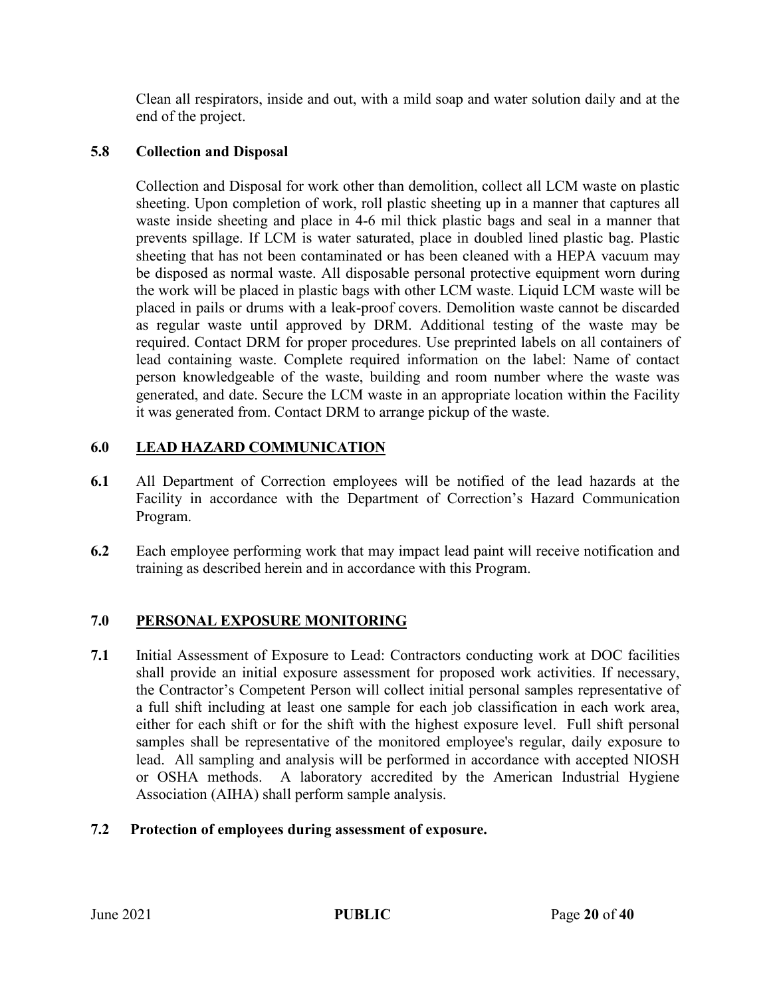Clean all respirators, inside and out, with a mild soap and water solution daily and at the end of the project.

## **5.8 Collection and Disposal**

Collection and Disposal for work other than demolition, collect all LCM waste on plastic sheeting. Upon completion of work, roll plastic sheeting up in a manner that captures all waste inside sheeting and place in 4-6 mil thick plastic bags and seal in a manner that prevents spillage. If LCM is water saturated, place in doubled lined plastic bag. Plastic sheeting that has not been contaminated or has been cleaned with a HEPA vacuum may be disposed as normal waste. All disposable personal protective equipment worn during the work will be placed in plastic bags with other LCM waste. Liquid LCM waste will be placed in pails or drums with a leak-proof covers. Demolition waste cannot be discarded as regular waste until approved by DRM. Additional testing of the waste may be required. Contact DRM for proper procedures. Use preprinted labels on all containers of lead containing waste. Complete required information on the label: Name of contact person knowledgeable of the waste, building and room number where the waste was generated, and date. Secure the LCM waste in an appropriate location within the Facility it was generated from. Contact DRM to arrange pickup of the waste.

## **6.0 LEAD HAZARD COMMUNICATION**

- **6.1** All Department of Correction employees will be notified of the lead hazards at the Facility in accordance with the Department of Correction's Hazard Communication Program.
- **6.2** Each employee performing work that may impact lead paint will receive notification and training as described herein and in accordance with this Program.

## **7.0 PERSONAL EXPOSURE MONITORING**

**7.1** Initial Assessment of Exposure to Lead: Contractors conducting work at DOC facilities shall provide an initial exposure assessment for proposed work activities. If necessary, the Contractor's Competent Person will collect initial personal samples representative of a full shift including at least one sample for each job classification in each work area, either for each shift or for the shift with the highest exposure level. Full shift personal samples shall be representative of the monitored employee's regular, daily exposure to lead. All sampling and analysis will be performed in accordance with accepted NIOSH or OSHA methods. A laboratory accredited by the American Industrial Hygiene Association (AIHA) shall perform sample analysis.

## **7.2 Protection of employees during assessment of exposure.**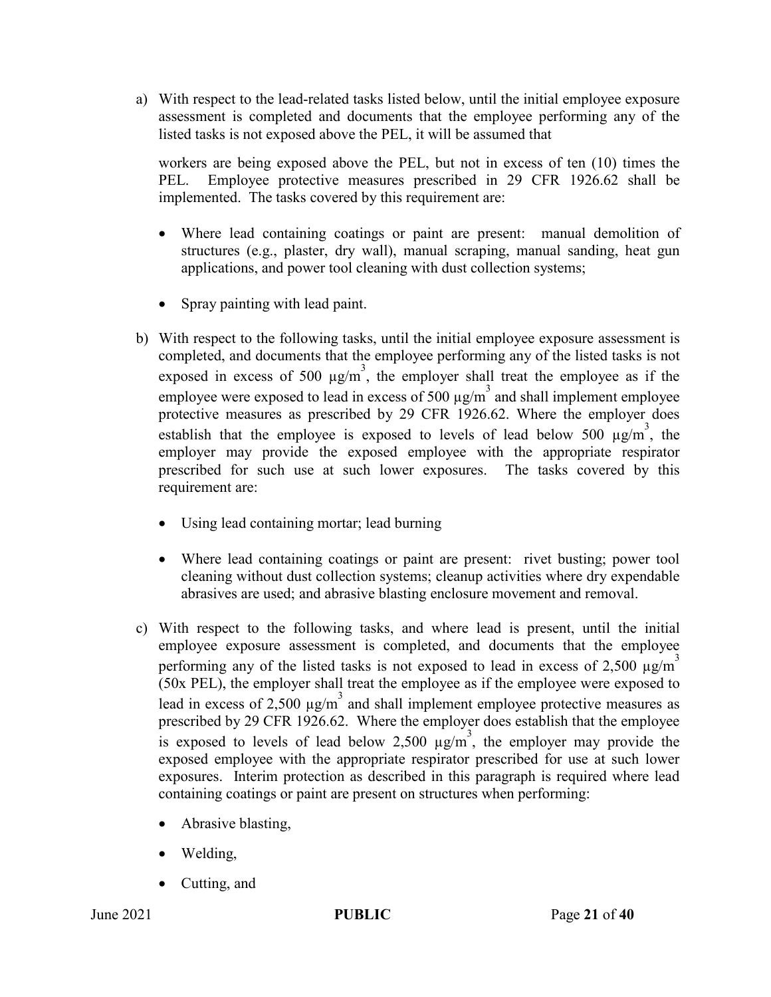a) With respect to the lead-related tasks listed below, until the initial employee exposure assessment is completed and documents that the employee performing any of the listed tasks is not exposed above the PEL, it will be assumed that

workers are being exposed above the PEL, but not in excess of ten (10) times the PEL. Employee protective measures prescribed in 29 CFR 1926.62 shall be implemented. The tasks covered by this requirement are:

- Where lead containing coatings or paint are present: manual demolition of structures (e.g., plaster, dry wall), manual scraping, manual sanding, heat gun applications, and power tool cleaning with dust collection systems;
- Spray painting with lead paint.
- b) With respect to the following tasks, until the initial employee exposure assessment is completed, and documents that the employee performing any of the listed tasks is not exposed in excess of 500  $\mu$ g/m<sup>3</sup>, the employer shall treat the employee as if the employee were exposed to lead in excess of 500  $\mu$ g/m<sup>3</sup> and shall implement employee protective measures as prescribed by 29 CFR 1926.62. Where the employer does establish that the employee is exposed to levels of lead below 500  $\mu$ g/m<sup>3</sup>, the employer may provide the exposed employee with the appropriate respirator prescribed for such use at such lower exposures. The tasks covered by this requirement are:
	- Using lead containing mortar; lead burning
	- Where lead containing coatings or paint are present: rivet busting; power tool cleaning without dust collection systems; cleanup activities where dry expendable abrasives are used; and abrasive blasting enclosure movement and removal.
- c) With respect to the following tasks, and where lead is present, until the initial employee exposure assessment is completed, and documents that the employee performing any of the listed tasks is not exposed to lead in excess of 2,500  $\mu$ g/m<sup>3</sup> (50x PEL), the employer shall treat the employee as if the employee were exposed to lead in excess of 2,500  $\mu$ g/m<sup>3</sup> and shall implement employee protective measures as prescribed by 29 CFR 1926.62. Where the employer does establish that the employee is exposed to levels of lead below 2,500  $\mu$ g/m<sup>3</sup>, the employer may provide the exposed employee with the appropriate respirator prescribed for use at such lower exposures. Interim protection as described in this paragraph is required where lead containing coatings or paint are present on structures when performing:
	- Abrasive blasting,
	- Welding,
	- Cutting, and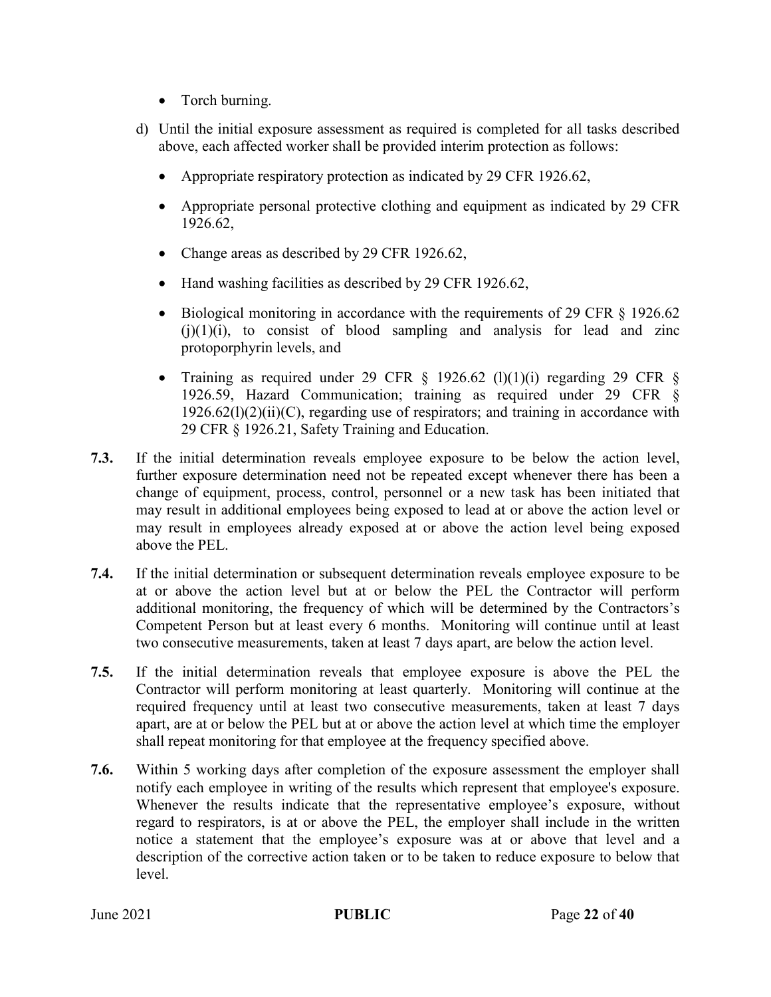- Torch burning.
- d) Until the initial exposure assessment as required is completed for all tasks described above, each affected worker shall be provided interim protection as follows:
	- Appropriate respiratory protection as indicated by 29 CFR 1926.62,
	- Appropriate personal protective clothing and equipment as indicated by 29 CFR 1926.62,
	- Change areas as described by 29 CFR 1926.62,
	- Hand washing facilities as described by 29 CFR 1926.62,
	- Biological monitoring in accordance with the requirements of 29 CFR § 1926.62  $(j)(1)(i)$ , to consist of blood sampling and analysis for lead and zinc protoporphyrin levels, and
	- Training as required under 29 CFR  $\S$  1926.62 (l)(1)(i) regarding 29 CFR  $\S$ 1926.59, Hazard Communication; training as required under 29 CFR §  $1926.62(1)(2)(ii)(C)$ , regarding use of respirators; and training in accordance with 29 CFR § 1926.21, Safety Training and Education.
- **7.3.** If the initial determination reveals employee exposure to be below the action level, further exposure determination need not be repeated except whenever there has been a change of equipment, process, control, personnel or a new task has been initiated that may result in additional employees being exposed to lead at or above the action level or may result in employees already exposed at or above the action level being exposed above the PEL.
- **7.4.** If the initial determination or subsequent determination reveals employee exposure to be at or above the action level but at or below the PEL the Contractor will perform additional monitoring, the frequency of which will be determined by the Contractors's Competent Person but at least every 6 months. Monitoring will continue until at least two consecutive measurements, taken at least 7 days apart, are below the action level.
- **7.5.** If the initial determination reveals that employee exposure is above the PEL the Contractor will perform monitoring at least quarterly. Monitoring will continue at the required frequency until at least two consecutive measurements, taken at least 7 days apart, are at or below the PEL but at or above the action level at which time the employer shall repeat monitoring for that employee at the frequency specified above.
- **7.6.** Within 5 working days after completion of the exposure assessment the employer shall notify each employee in writing of the results which represent that employee's exposure. Whenever the results indicate that the representative employee's exposure, without regard to respirators, is at or above the PEL, the employer shall include in the written notice a statement that the employee's exposure was at or above that level and a description of the corrective action taken or to be taken to reduce exposure to below that level.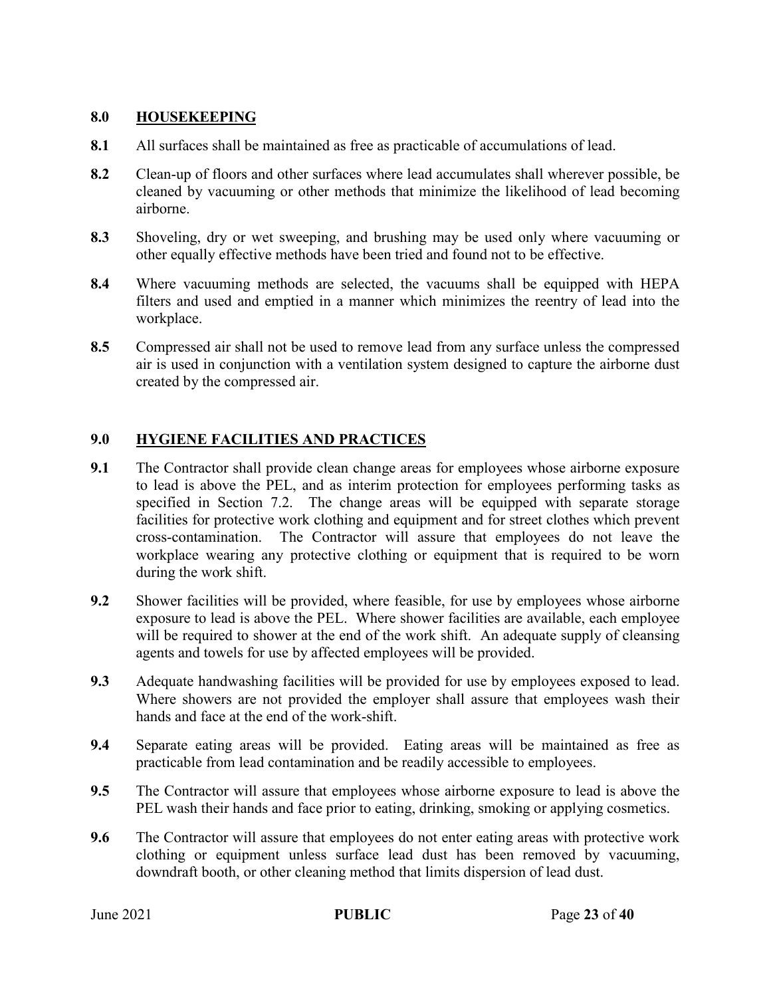#### **8.0 HOUSEKEEPING**

- **8.1** All surfaces shall be maintained as free as practicable of accumulations of lead.
- **8.2** Clean-up of floors and other surfaces where lead accumulates shall wherever possible, be cleaned by vacuuming or other methods that minimize the likelihood of lead becoming airborne.
- **8.3** Shoveling, dry or wet sweeping, and brushing may be used only where vacuuming or other equally effective methods have been tried and found not to be effective.
- **8.4** Where vacuuming methods are selected, the vacuums shall be equipped with HEPA filters and used and emptied in a manner which minimizes the reentry of lead into the workplace.
- **8.5** Compressed air shall not be used to remove lead from any surface unless the compressed air is used in conjunction with a ventilation system designed to capture the airborne dust created by the compressed air.

## **9.0 HYGIENE FACILITIES AND PRACTICES**

- **9.1** The Contractor shall provide clean change areas for employees whose airborne exposure to lead is above the PEL, and as interim protection for employees performing tasks as specified in Section 7.2. The change areas will be equipped with separate storage facilities for protective work clothing and equipment and for street clothes which prevent cross-contamination. The Contractor will assure that employees do not leave the workplace wearing any protective clothing or equipment that is required to be worn during the work shift.
- **9.2** Shower facilities will be provided, where feasible, for use by employees whose airborne exposure to lead is above the PEL. Where shower facilities are available, each employee will be required to shower at the end of the work shift. An adequate supply of cleansing agents and towels for use by affected employees will be provided.
- **9.3** Adequate handwashing facilities will be provided for use by employees exposed to lead. Where showers are not provided the employer shall assure that employees wash their hands and face at the end of the work-shift.
- **9.4** Separate eating areas will be provided. Eating areas will be maintained as free as practicable from lead contamination and be readily accessible to employees.
- **9.5** The Contractor will assure that employees whose airborne exposure to lead is above the PEL wash their hands and face prior to eating, drinking, smoking or applying cosmetics.
- **9.6** The Contractor will assure that employees do not enter eating areas with protective work clothing or equipment unless surface lead dust has been removed by vacuuming, downdraft booth, or other cleaning method that limits dispersion of lead dust.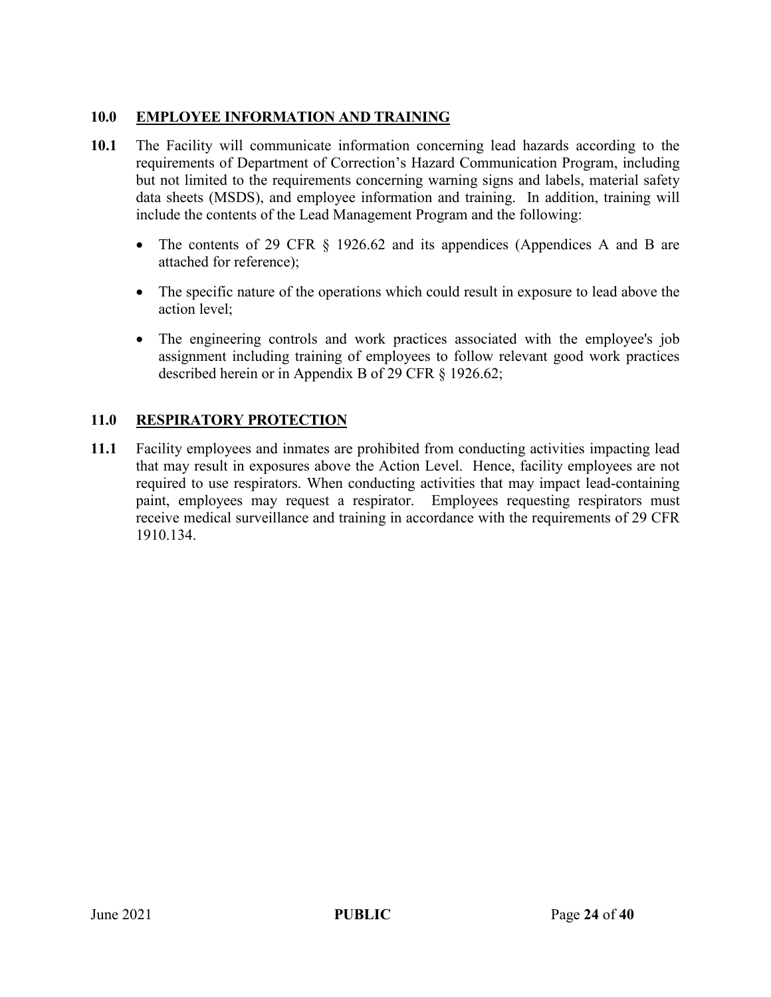## **10.0 EMPLOYEE INFORMATION AND TRAINING**

- **10.1** The Facility will communicate information concerning lead hazards according to the requirements of Department of Correction's Hazard Communication Program, including but not limited to the requirements concerning warning signs and labels, material safety data sheets (MSDS), and employee information and training. In addition, training will include the contents of the Lead Management Program and the following:
	- The contents of 29 CFR § 1926.62 and its appendices (Appendices A and B are attached for reference);
	- The specific nature of the operations which could result in exposure to lead above the action level;
	- The engineering controls and work practices associated with the employee's job assignment including training of employees to follow relevant good work practices described herein or in Appendix B of 29 CFR § 1926.62;

## **11.0 RESPIRATORY PROTECTION**

**11.1** Facility employees and inmates are prohibited from conducting activities impacting lead that may result in exposures above the Action Level. Hence, facility employees are not required to use respirators. When conducting activities that may impact lead-containing paint, employees may request a respirator. Employees requesting respirators must receive medical surveillance and training in accordance with the requirements of 29 CFR 1910.134.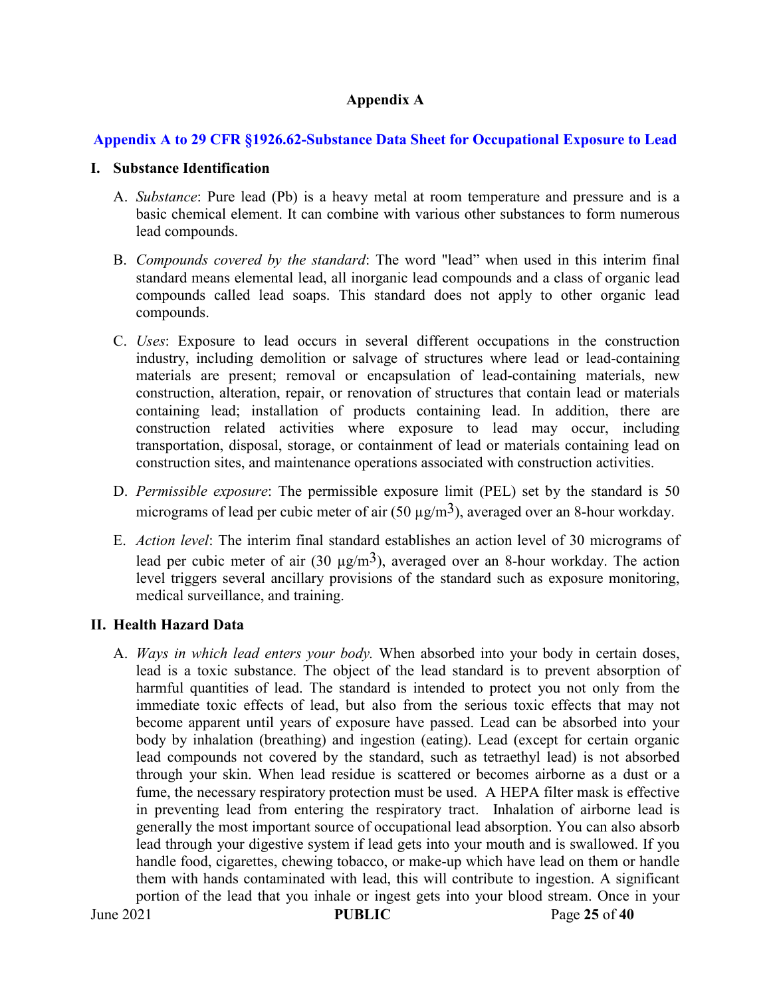#### **Appendix A**

#### **Appendix A to 29 CFR §1926.62-Substance Data Sheet for Occupational Exposure to Lead**

#### **I. Substance Identification**

- A. *Substance*: Pure lead (Pb) is a heavy metal at room temperature and pressure and is a basic chemical element. It can combine with various other substances to form numerous lead compounds.
- B. *Compounds covered by the standard*: The word "lead" when used in this interim final standard means elemental lead, all inorganic lead compounds and a class of organic lead compounds called lead soaps. This standard does not apply to other organic lead compounds.
- C. *Uses*: Exposure to lead occurs in several different occupations in the construction industry, including demolition or salvage of structures where lead or lead-containing materials are present; removal or encapsulation of lead-containing materials, new construction, alteration, repair, or renovation of structures that contain lead or materials containing lead; installation of products containing lead. In addition, there are construction related activities where exposure to lead may occur, including transportation, disposal, storage, or containment of lead or materials containing lead on construction sites, and maintenance operations associated with construction activities.
- D. *Permissible exposure*: The permissible exposure limit (PEL) set by the standard is 50 micrograms of lead per cubic meter of air (50  $\mu$ g/m<sup>3</sup>), averaged over an 8-hour workday.
- E. *Action level*: The interim final standard establishes an action level of 30 micrograms of lead per cubic meter of air  $(30 \mu g/m^3)$ , averaged over an 8-hour workday. The action level triggers several ancillary provisions of the standard such as exposure monitoring, medical surveillance, and training.

#### **II. Health Hazard Data**

June 2021 **PUBLIC** Page **25** of **40** A. *Ways in which lead enters your body.* When absorbed into your body in certain doses, lead is a toxic substance. The object of the lead standard is to prevent absorption of harmful quantities of lead. The standard is intended to protect you not only from the immediate toxic effects of lead, but also from the serious toxic effects that may not become apparent until years of exposure have passed. Lead can be absorbed into your body by inhalation (breathing) and ingestion (eating). Lead (except for certain organic lead compounds not covered by the standard, such as tetraethyl lead) is not absorbed through your skin. When lead residue is scattered or becomes airborne as a dust or a fume, the necessary respiratory protection must be used. A HEPA filter mask is effective in preventing lead from entering the respiratory tract. Inhalation of airborne lead is generally the most important source of occupational lead absorption. You can also absorb lead through your digestive system if lead gets into your mouth and is swallowed. If you handle food, cigarettes, chewing tobacco, or make-up which have lead on them or handle them with hands contaminated with lead, this will contribute to ingestion. A significant portion of the lead that you inhale or ingest gets into your blood stream. Once in your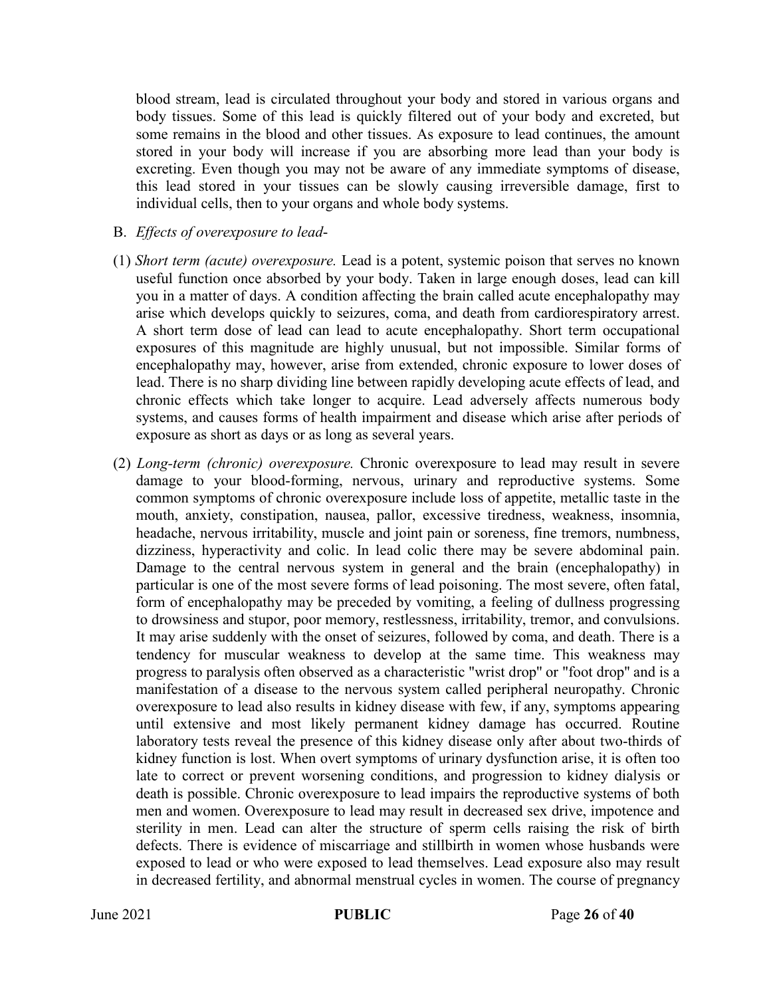blood stream, lead is circulated throughout your body and stored in various organs and body tissues. Some of this lead is quickly filtered out of your body and excreted, but some remains in the blood and other tissues. As exposure to lead continues, the amount stored in your body will increase if you are absorbing more lead than your body is excreting. Even though you may not be aware of any immediate symptoms of disease, this lead stored in your tissues can be slowly causing irreversible damage, first to individual cells, then to your organs and whole body systems.

- B. *Effects of overexposure to lead*-
- (1) *Short term (acute) overexposure.* Lead is a potent, systemic poison that serves no known useful function once absorbed by your body. Taken in large enough doses, lead can kill you in a matter of days. A condition affecting the brain called acute encephalopathy may arise which develops quickly to seizures, coma, and death from cardiorespiratory arrest. A short term dose of lead can lead to acute encephalopathy. Short term occupational exposures of this magnitude are highly unusual, but not impossible. Similar forms of encephalopathy may, however, arise from extended, chronic exposure to lower doses of lead. There is no sharp dividing line between rapidly developing acute effects of lead, and chronic effects which take longer to acquire. Lead adversely affects numerous body systems, and causes forms of health impairment and disease which arise after periods of exposure as short as days or as long as several years.
- (2) *Long-term (chronic) overexposure.* Chronic overexposure to lead may result in severe damage to your blood-forming, nervous, urinary and reproductive systems. Some common symptoms of chronic overexposure include loss of appetite, metallic taste in the mouth, anxiety, constipation, nausea, pallor, excessive tiredness, weakness, insomnia, headache, nervous irritability, muscle and joint pain or soreness, fine tremors, numbness, dizziness, hyperactivity and colic. In lead colic there may be severe abdominal pain. Damage to the central nervous system in general and the brain (encephalopathy) in particular is one of the most severe forms of lead poisoning. The most severe, often fatal, form of encephalopathy may be preceded by vomiting, a feeling of dullness progressing to drowsiness and stupor, poor memory, restlessness, irritability, tremor, and convulsions. It may arise suddenly with the onset of seizures, followed by coma, and death. There is a tendency for muscular weakness to develop at the same time. This weakness may progress to paralysis often observed as a characteristic "wrist drop'' or "foot drop'' and is a manifestation of a disease to the nervous system called peripheral neuropathy. Chronic overexposure to lead also results in kidney disease with few, if any, symptoms appearing until extensive and most likely permanent kidney damage has occurred. Routine laboratory tests reveal the presence of this kidney disease only after about two-thirds of kidney function is lost. When overt symptoms of urinary dysfunction arise, it is often too late to correct or prevent worsening conditions, and progression to kidney dialysis or death is possible. Chronic overexposure to lead impairs the reproductive systems of both men and women. Overexposure to lead may result in decreased sex drive, impotence and sterility in men. Lead can alter the structure of sperm cells raising the risk of birth defects. There is evidence of miscarriage and stillbirth in women whose husbands were exposed to lead or who were exposed to lead themselves. Lead exposure also may result in decreased fertility, and abnormal menstrual cycles in women. The course of pregnancy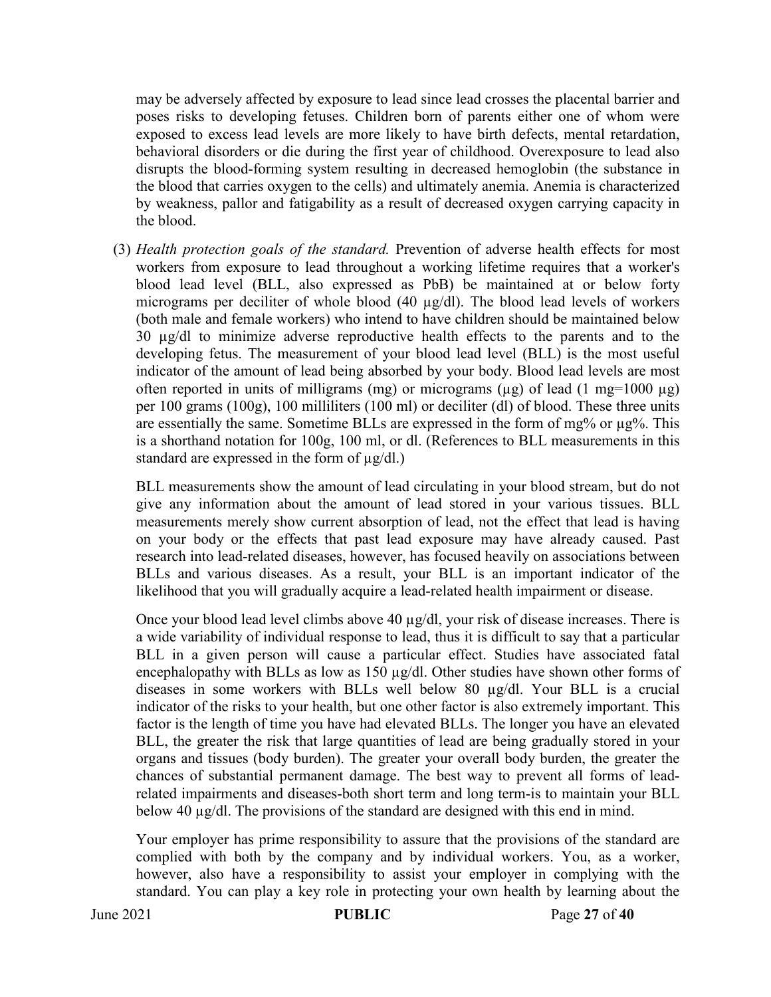may be adversely affected by exposure to lead since lead crosses the placental barrier and poses risks to developing fetuses. Children born of parents either one of whom were exposed to excess lead levels are more likely to have birth defects, mental retardation, behavioral disorders or die during the first year of childhood. Overexposure to lead also disrupts the blood-forming system resulting in decreased hemoglobin (the substance in the blood that carries oxygen to the cells) and ultimately anemia. Anemia is characterized by weakness, pallor and fatigability as a result of decreased oxygen carrying capacity in the blood.

(3) *Health protection goals of the standard.* Prevention of adverse health effects for most workers from exposure to lead throughout a working lifetime requires that a worker's blood lead level (BLL, also expressed as PbB) be maintained at or below forty micrograms per deciliter of whole blood (40 µg/dl). The blood lead levels of workers (both male and female workers) who intend to have children should be maintained below 30 µg/dl to minimize adverse reproductive health effects to the parents and to the developing fetus. The measurement of your blood lead level (BLL) is the most useful indicator of the amount of lead being absorbed by your body. Blood lead levels are most often reported in units of milligrams (mg) or micrograms ( $\mu$ g) of lead (1 mg=1000  $\mu$ g) per 100 grams (100g), 100 milliliters (100 ml) or deciliter (dl) of blood. These three units are essentially the same. Sometime BLLs are expressed in the form of mg% or µg%. This is a shorthand notation for 100g, 100 ml, or dl. (References to BLL measurements in this standard are expressed in the form of  $\mu$ g/dl.)

BLL measurements show the amount of lead circulating in your blood stream, but do not give any information about the amount of lead stored in your various tissues. BLL measurements merely show current absorption of lead, not the effect that lead is having on your body or the effects that past lead exposure may have already caused. Past research into lead-related diseases, however, has focused heavily on associations between BLLs and various diseases. As a result, your BLL is an important indicator of the likelihood that you will gradually acquire a lead-related health impairment or disease.

Once your blood lead level climbs above  $40 \mu g/dl$ , your risk of disease increases. There is a wide variability of individual response to lead, thus it is difficult to say that a particular BLL in a given person will cause a particular effect. Studies have associated fatal encephalopathy with BLLs as low as 150 µg/dl. Other studies have shown other forms of diseases in some workers with BLLs well below 80 µg/dl. Your BLL is a crucial indicator of the risks to your health, but one other factor is also extremely important. This factor is the length of time you have had elevated BLLs. The longer you have an elevated BLL, the greater the risk that large quantities of lead are being gradually stored in your organs and tissues (body burden). The greater your overall body burden, the greater the chances of substantial permanent damage. The best way to prevent all forms of leadrelated impairments and diseases-both short term and long term-is to maintain your BLL below 40 µg/dl. The provisions of the standard are designed with this end in mind.

Your employer has prime responsibility to assure that the provisions of the standard are complied with both by the company and by individual workers. You, as a worker, however, also have a responsibility to assist your employer in complying with the standard. You can play a key role in protecting your own health by learning about the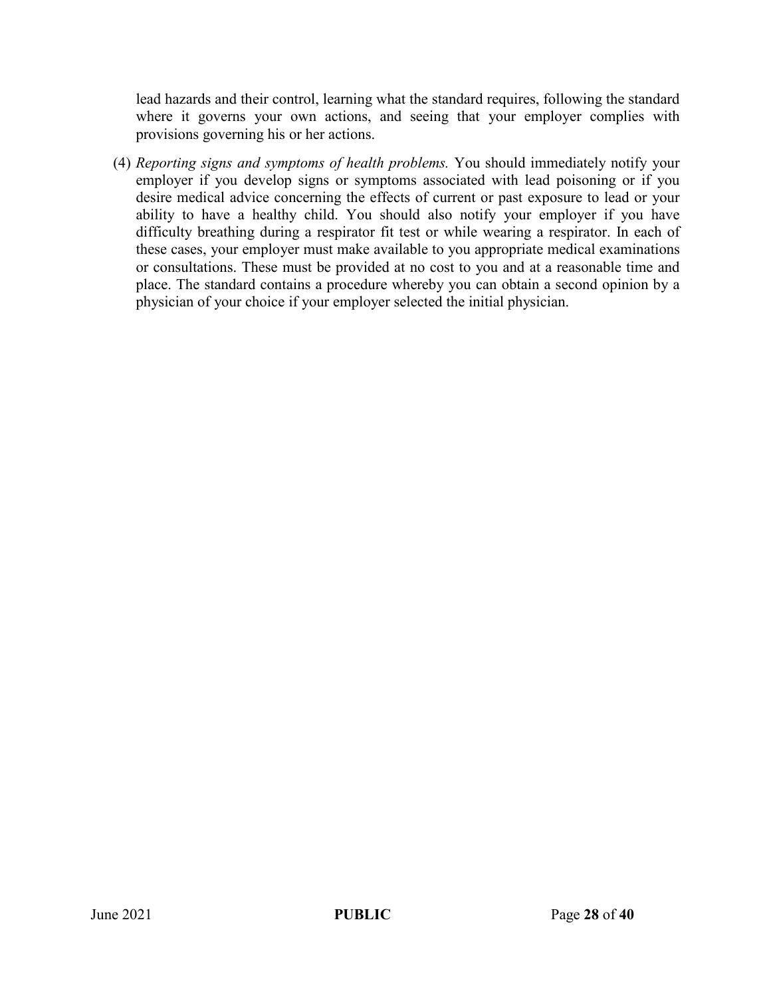lead hazards and their control, learning what the standard requires, following the standard where it governs your own actions, and seeing that your employer complies with provisions governing his or her actions.

(4) *Reporting signs and symptoms of health problems.* You should immediately notify your employer if you develop signs or symptoms associated with lead poisoning or if you desire medical advice concerning the effects of current or past exposure to lead or your ability to have a healthy child. You should also notify your employer if you have difficulty breathing during a respirator fit test or while wearing a respirator. In each of these cases, your employer must make available to you appropriate medical examinations or consultations. These must be provided at no cost to you and at a reasonable time and place. The standard contains a procedure whereby you can obtain a second opinion by a physician of your choice if your employer selected the initial physician.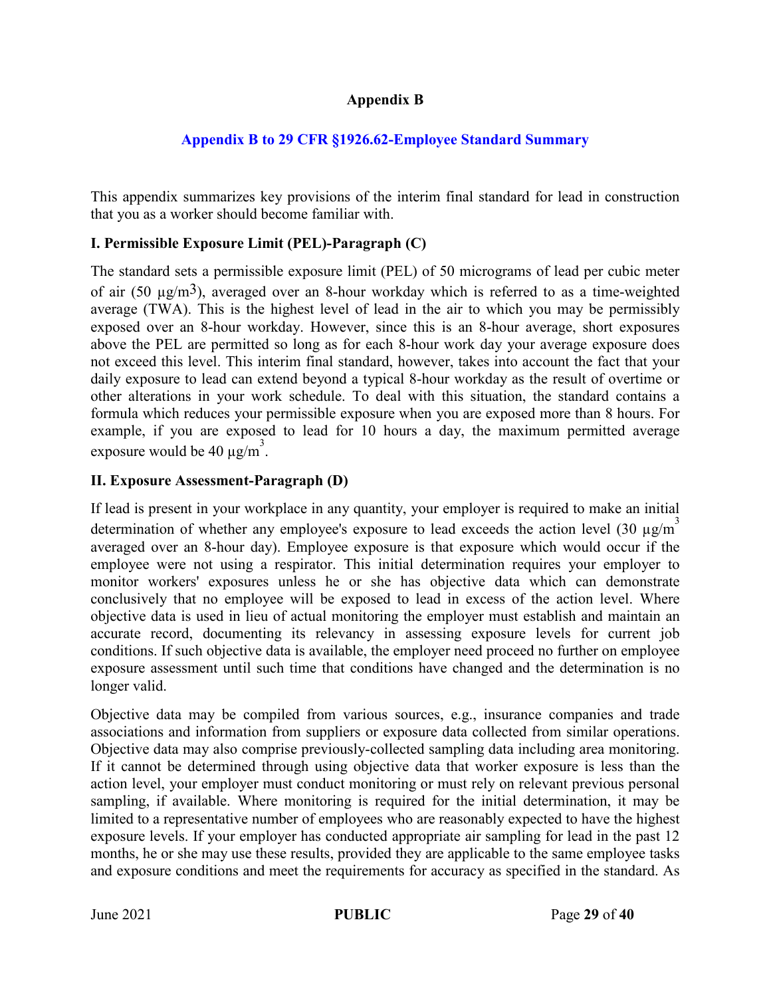#### **Appendix B**

#### **Appendix B to 29 CFR §1926.62-Employee Standard Summary**

This appendix summarizes key provisions of the interim final standard for lead in construction that you as a worker should become familiar with.

#### **I. Permissible Exposure Limit (PEL)-Paragraph (C)**

The standard sets a permissible exposure limit (PEL) of 50 micrograms of lead per cubic meter of air (50  $\mu$ g/m<sup>3</sup>), averaged over an 8-hour workday which is referred to as a time-weighted average (TWA). This is the highest level of lead in the air to which you may be permissibly exposed over an 8-hour workday. However, since this is an 8-hour average, short exposures above the PEL are permitted so long as for each 8-hour work day your average exposure does not exceed this level. This interim final standard, however, takes into account the fact that your daily exposure to lead can extend beyond a typical 8-hour workday as the result of overtime or other alterations in your work schedule. To deal with this situation, the standard contains a formula which reduces your permissible exposure when you are exposed more than 8 hours. For example, if you are exposed to lead for 10 hours a day, the maximum permitted average exposure would be 40  $\mu$ g/m<sup>3</sup>.

#### **II. Exposure Assessment-Paragraph (D)**

If lead is present in your workplace in any quantity, your employer is required to make an initial determination of whether any employee's exposure to lead exceeds the action level  $(30 \mu g/m^3)$ averaged over an 8-hour day). Employee exposure is that exposure which would occur if the employee were not using a respirator. This initial determination requires your employer to monitor workers' exposures unless he or she has objective data which can demonstrate conclusively that no employee will be exposed to lead in excess of the action level. Where objective data is used in lieu of actual monitoring the employer must establish and maintain an accurate record, documenting its relevancy in assessing exposure levels for current job conditions. If such objective data is available, the employer need proceed no further on employee exposure assessment until such time that conditions have changed and the determination is no longer valid.

Objective data may be compiled from various sources, e.g., insurance companies and trade associations and information from suppliers or exposure data collected from similar operations. Objective data may also comprise previously-collected sampling data including area monitoring. If it cannot be determined through using objective data that worker exposure is less than the action level, your employer must conduct monitoring or must rely on relevant previous personal sampling, if available. Where monitoring is required for the initial determination, it may be limited to a representative number of employees who are reasonably expected to have the highest exposure levels. If your employer has conducted appropriate air sampling for lead in the past 12 months, he or she may use these results, provided they are applicable to the same employee tasks and exposure conditions and meet the requirements for accuracy as specified in the standard. As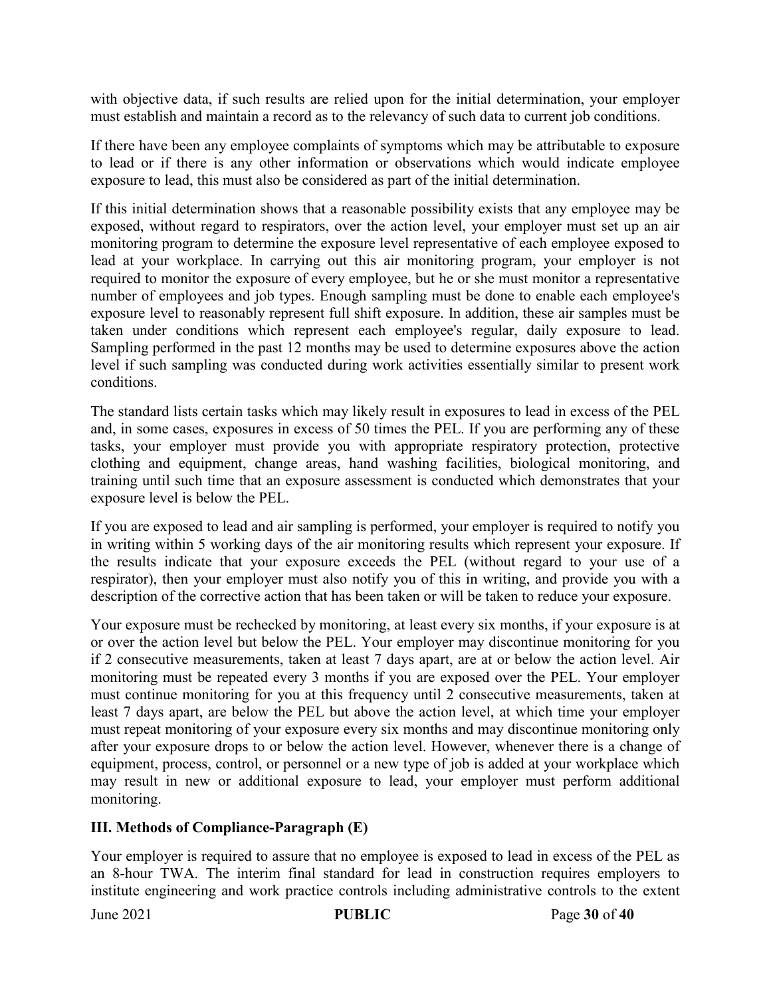with objective data, if such results are relied upon for the initial determination, your employer must establish and maintain a record as to the relevancy of such data to current job conditions.

If there have been any employee complaints of symptoms which may be attributable to exposure to lead or if there is any other information or observations which would indicate employee exposure to lead, this must also be considered as part of the initial determination.

If this initial determination shows that a reasonable possibility exists that any employee may be exposed, without regard to respirators, over the action level, your employer must set up an air monitoring program to determine the exposure level representative of each employee exposed to lead at your workplace. In carrying out this air monitoring program, your employer is not required to monitor the exposure of every employee, but he or she must monitor a representative number of employees and job types. Enough sampling must be done to enable each employee's exposure level to reasonably represent full shift exposure. In addition, these air samples must be taken under conditions which represent each employee's regular, daily exposure to lead. Sampling performed in the past 12 months may be used to determine exposures above the action level if such sampling was conducted during work activities essentially similar to present work conditions.

The standard lists certain tasks which may likely result in exposures to lead in excess of the PEL and, in some cases, exposures in excess of 50 times the PEL. If you are performing any of these tasks, your employer must provide you with appropriate respiratory protection, protective clothing and equipment, change areas, hand washing facilities, biological monitoring, and training until such time that an exposure assessment is conducted which demonstrates that your exposure level is below the PEL.

If you are exposed to lead and air sampling is performed, your employer is required to notify you in writing within 5 working days of the air monitoring results which represent your exposure. If the results indicate that your exposure exceeds the PEL (without regard to your use of a respirator), then your employer must also notify you of this in writing, and provide you with a description of the corrective action that has been taken or will be taken to reduce your exposure.

Your exposure must be rechecked by monitoring, at least every six months, if your exposure is at or over the action level but below the PEL. Your employer may discontinue monitoring for you if 2 consecutive measurements, taken at least 7 days apart, are at or below the action level. Air monitoring must be repeated every 3 months if you are exposed over the PEL. Your employer must continue monitoring for you at this frequency until 2 consecutive measurements, taken at least 7 days apart, are below the PEL but above the action level, at which time your employer must repeat monitoring of your exposure every six months and may discontinue monitoring only after your exposure drops to or below the action level. However, whenever there is a change of equipment, process, control, or personnel or a new type of job is added at your workplace which may result in new or additional exposure to lead, your employer must perform additional monitoring.

## **III. Methods of Compliance-Paragraph (E)**

Your employer is required to assure that no employee is exposed to lead in excess of the PEL as an 8-hour TWA. The interim final standard for lead in construction requires employers to institute engineering and work practice controls including administrative controls to the extent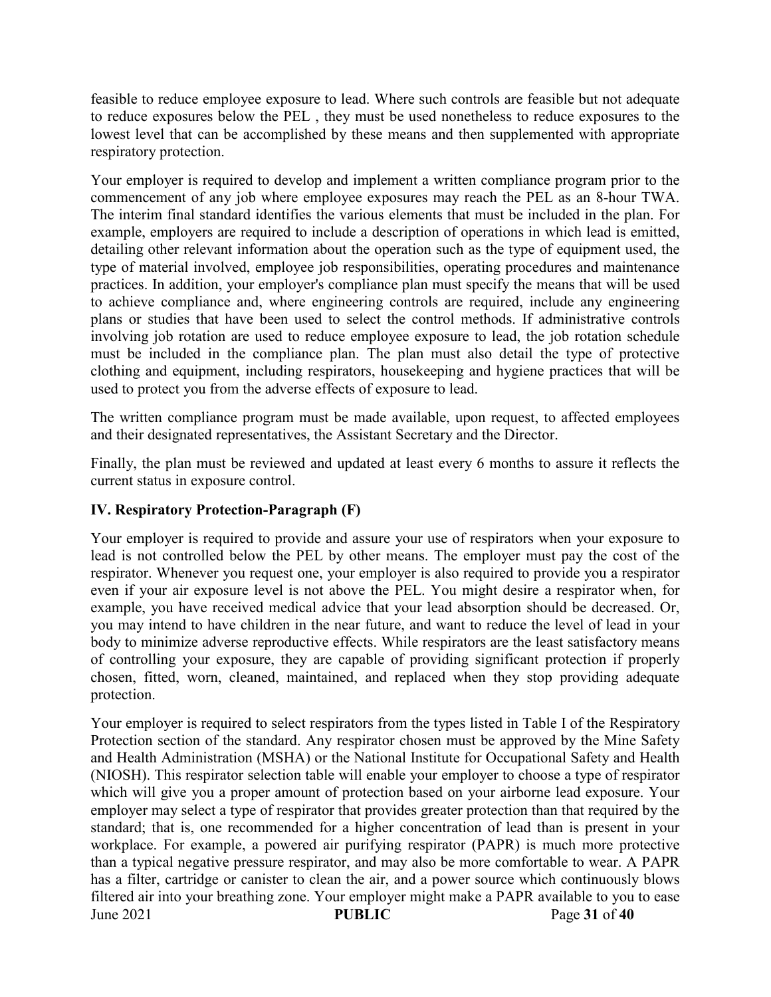feasible to reduce employee exposure to lead. Where such controls are feasible but not adequate to reduce exposures below the PEL , they must be used nonetheless to reduce exposures to the lowest level that can be accomplished by these means and then supplemented with appropriate respiratory protection.

Your employer is required to develop and implement a written compliance program prior to the commencement of any job where employee exposures may reach the PEL as an 8-hour TWA. The interim final standard identifies the various elements that must be included in the plan. For example, employers are required to include a description of operations in which lead is emitted, detailing other relevant information about the operation such as the type of equipment used, the type of material involved, employee job responsibilities, operating procedures and maintenance practices. In addition, your employer's compliance plan must specify the means that will be used to achieve compliance and, where engineering controls are required, include any engineering plans or studies that have been used to select the control methods. If administrative controls involving job rotation are used to reduce employee exposure to lead, the job rotation schedule must be included in the compliance plan. The plan must also detail the type of protective clothing and equipment, including respirators, housekeeping and hygiene practices that will be used to protect you from the adverse effects of exposure to lead.

The written compliance program must be made available, upon request, to affected employees and their designated representatives, the Assistant Secretary and the Director.

Finally, the plan must be reviewed and updated at least every 6 months to assure it reflects the current status in exposure control.

#### **IV. Respiratory Protection-Paragraph (F)**

Your employer is required to provide and assure your use of respirators when your exposure to lead is not controlled below the PEL by other means. The employer must pay the cost of the respirator. Whenever you request one, your employer is also required to provide you a respirator even if your air exposure level is not above the PEL. You might desire a respirator when, for example, you have received medical advice that your lead absorption should be decreased. Or, you may intend to have children in the near future, and want to reduce the level of lead in your body to minimize adverse reproductive effects. While respirators are the least satisfactory means of controlling your exposure, they are capable of providing significant protection if properly chosen, fitted, worn, cleaned, maintained, and replaced when they stop providing adequate protection.

June 2021 **PUBLIC** Page **31** of **40** Your employer is required to select respirators from the types listed in Table I of the Respiratory Protection section of the standard. Any respirator chosen must be approved by the Mine Safety and Health Administration (MSHA) or the National Institute for Occupational Safety and Health (NIOSH). This respirator selection table will enable your employer to choose a type of respirator which will give you a proper amount of protection based on your airborne lead exposure. Your employer may select a type of respirator that provides greater protection than that required by the standard; that is, one recommended for a higher concentration of lead than is present in your workplace. For example, a powered air purifying respirator (PAPR) is much more protective than a typical negative pressure respirator, and may also be more comfortable to wear. A PAPR has a filter, cartridge or canister to clean the air, and a power source which continuously blows filtered air into your breathing zone. Your employer might make a PAPR available to you to ease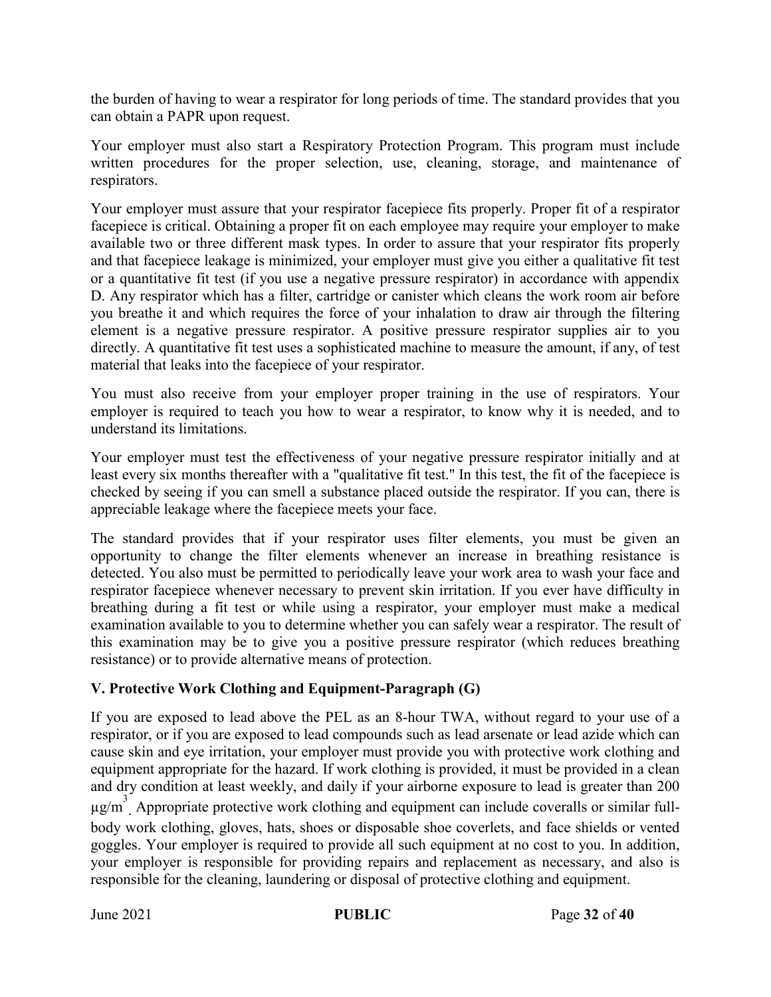the burden of having to wear a respirator for long periods of time. The standard provides that you can obtain a PAPR upon request.

Your employer must also start a Respiratory Protection Program. This program must include written procedures for the proper selection, use, cleaning, storage, and maintenance of respirators.

Your employer must assure that your respirator facepiece fits properly. Proper fit of a respirator facepiece is critical. Obtaining a proper fit on each employee may require your employer to make available two or three different mask types. In order to assure that your respirator fits properly and that facepiece leakage is minimized, your employer must give you either a qualitative fit test or a quantitative fit test (if you use a negative pressure respirator) in accordance with appendix D. Any respirator which has a filter, cartridge or canister which cleans the work room air before you breathe it and which requires the force of your inhalation to draw air through the filtering element is a negative pressure respirator. A positive pressure respirator supplies air to you directly. A quantitative fit test uses a sophisticated machine to measure the amount, if any, of test material that leaks into the facepiece of your respirator.

You must also receive from your employer proper training in the use of respirators. Your employer is required to teach you how to wear a respirator, to know why it is needed, and to understand its limitations.

Your employer must test the effectiveness of your negative pressure respirator initially and at least every six months thereafter with a "qualitative fit test.'' In this test, the fit of the facepiece is checked by seeing if you can smell a substance placed outside the respirator. If you can, there is appreciable leakage where the facepiece meets your face.

The standard provides that if your respirator uses filter elements, you must be given an opportunity to change the filter elements whenever an increase in breathing resistance is detected. You also must be permitted to periodically leave your work area to wash your face and respirator facepiece whenever necessary to prevent skin irritation. If you ever have difficulty in breathing during a fit test or while using a respirator, your employer must make a medical examination available to you to determine whether you can safely wear a respirator. The result of this examination may be to give you a positive pressure respirator (which reduces breathing resistance) or to provide alternative means of protection.

## **V. Protective Work Clothing and Equipment-Paragraph (G)**

If you are exposed to lead above the PEL as an 8-hour TWA, without regard to your use of a respirator, or if you are exposed to lead compounds such as lead arsenate or lead azide which can cause skin and eye irritation, your employer must provide you with protective work clothing and equipment appropriate for the hazard. If work clothing is provided, it must be provided in a clean and dry condition at least weekly, and daily if your airborne exposure to lead is greater than 200  $\mu$ g/m<sup>3</sup>. Appropriate protective work clothing and equipment can include coveralls or similar fullbody work clothing, gloves, hats, shoes or disposable shoe coverlets, and face shields or vented goggles. Your employer is required to provide all such equipment at no cost to you. In addition, your employer is responsible for providing repairs and replacement as necessary, and also is responsible for the cleaning, laundering or disposal of protective clothing and equipment.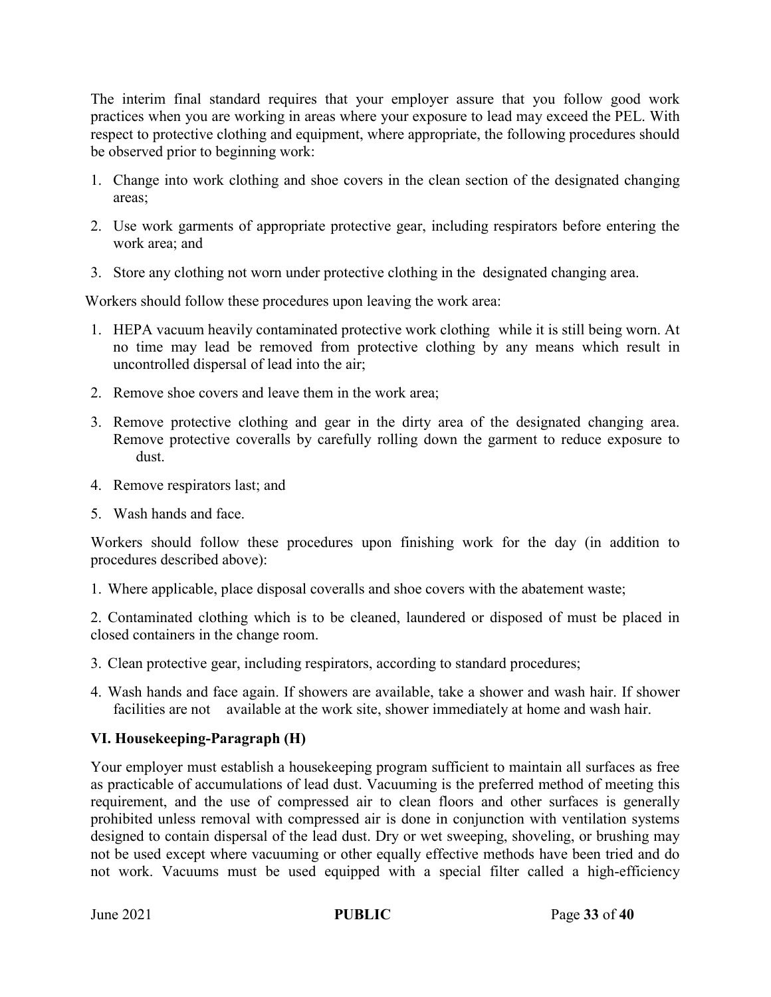The interim final standard requires that your employer assure that you follow good work practices when you are working in areas where your exposure to lead may exceed the PEL. With respect to protective clothing and equipment, where appropriate, the following procedures should be observed prior to beginning work:

- 1. Change into work clothing and shoe covers in the clean section of the designated changing areas;
- 2. Use work garments of appropriate protective gear, including respirators before entering the work area; and
- 3. Store any clothing not worn under protective clothing in the designated changing area.

Workers should follow these procedures upon leaving the work area:

- 1. HEPA vacuum heavily contaminated protective work clothing while it is still being worn. At no time may lead be removed from protective clothing by any means which result in uncontrolled dispersal of lead into the air;
- 2. Remove shoe covers and leave them in the work area;
- 3. Remove protective clothing and gear in the dirty area of the designated changing area. Remove protective coveralls by carefully rolling down the garment to reduce exposure to dust.
- 4. Remove respirators last; and
- 5. Wash hands and face.

Workers should follow these procedures upon finishing work for the day (in addition to procedures described above):

1. Where applicable, place disposal coveralls and shoe covers with the abatement waste;

2. Contaminated clothing which is to be cleaned, laundered or disposed of must be placed in closed containers in the change room.

- 3. Clean protective gear, including respirators, according to standard procedures;
- 4. Wash hands and face again. If showers are available, take a shower and wash hair. If shower facilities are not available at the work site, shower immediately at home and wash hair.

## **VI. Housekeeping-Paragraph (H)**

Your employer must establish a housekeeping program sufficient to maintain all surfaces as free as practicable of accumulations of lead dust. Vacuuming is the preferred method of meeting this requirement, and the use of compressed air to clean floors and other surfaces is generally prohibited unless removal with compressed air is done in conjunction with ventilation systems designed to contain dispersal of the lead dust. Dry or wet sweeping, shoveling, or brushing may not be used except where vacuuming or other equally effective methods have been tried and do not work. Vacuums must be used equipped with a special filter called a high-efficiency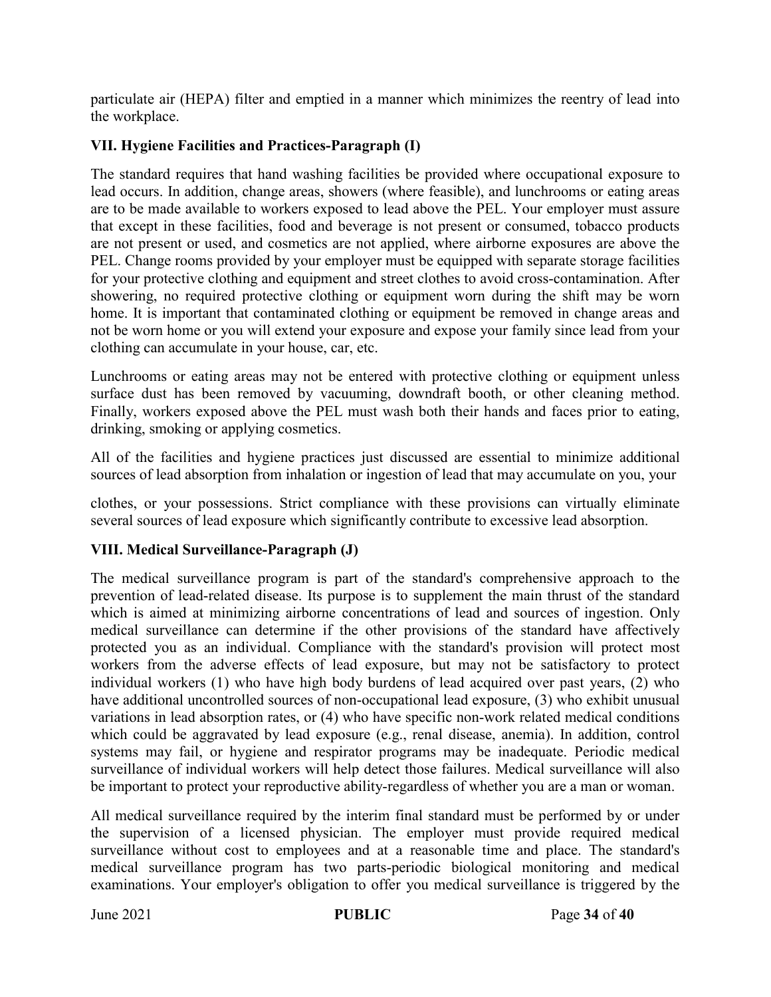particulate air (HEPA) filter and emptied in a manner which minimizes the reentry of lead into the workplace.

#### **VII. Hygiene Facilities and Practices-Paragraph (I)**

The standard requires that hand washing facilities be provided where occupational exposure to lead occurs. In addition, change areas, showers (where feasible), and lunchrooms or eating areas are to be made available to workers exposed to lead above the PEL. Your employer must assure that except in these facilities, food and beverage is not present or consumed, tobacco products are not present or used, and cosmetics are not applied, where airborne exposures are above the PEL. Change rooms provided by your employer must be equipped with separate storage facilities for your protective clothing and equipment and street clothes to avoid cross-contamination. After showering, no required protective clothing or equipment worn during the shift may be worn home. It is important that contaminated clothing or equipment be removed in change areas and not be worn home or you will extend your exposure and expose your family since lead from your clothing can accumulate in your house, car, etc.

Lunchrooms or eating areas may not be entered with protective clothing or equipment unless surface dust has been removed by vacuuming, downdraft booth, or other cleaning method. Finally, workers exposed above the PEL must wash both their hands and faces prior to eating, drinking, smoking or applying cosmetics.

All of the facilities and hygiene practices just discussed are essential to minimize additional sources of lead absorption from inhalation or ingestion of lead that may accumulate on you, your

clothes, or your possessions. Strict compliance with these provisions can virtually eliminate several sources of lead exposure which significantly contribute to excessive lead absorption.

#### **VIII. Medical Surveillance-Paragraph (J)**

The medical surveillance program is part of the standard's comprehensive approach to the prevention of lead-related disease. Its purpose is to supplement the main thrust of the standard which is aimed at minimizing airborne concentrations of lead and sources of ingestion. Only medical surveillance can determine if the other provisions of the standard have affectively protected you as an individual. Compliance with the standard's provision will protect most workers from the adverse effects of lead exposure, but may not be satisfactory to protect individual workers (1) who have high body burdens of lead acquired over past years, (2) who have additional uncontrolled sources of non-occupational lead exposure, (3) who exhibit unusual variations in lead absorption rates, or (4) who have specific non-work related medical conditions which could be aggravated by lead exposure (e.g., renal disease, anemia). In addition, control systems may fail, or hygiene and respirator programs may be inadequate. Periodic medical surveillance of individual workers will help detect those failures. Medical surveillance will also be important to protect your reproductive ability-regardless of whether you are a man or woman.

All medical surveillance required by the interim final standard must be performed by or under the supervision of a licensed physician. The employer must provide required medical surveillance without cost to employees and at a reasonable time and place. The standard's medical surveillance program has two parts-periodic biological monitoring and medical examinations. Your employer's obligation to offer you medical surveillance is triggered by the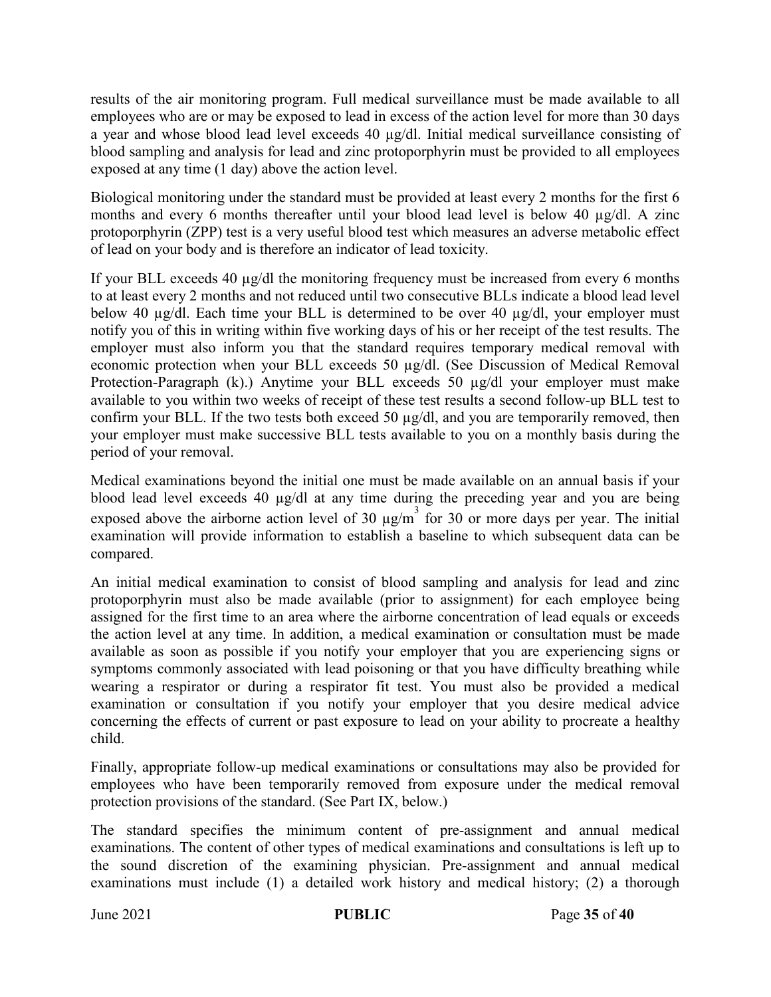results of the air monitoring program. Full medical surveillance must be made available to all employees who are or may be exposed to lead in excess of the action level for more than 30 days a year and whose blood lead level exceeds 40 µg/dl. Initial medical surveillance consisting of blood sampling and analysis for lead and zinc protoporphyrin must be provided to all employees exposed at any time (1 day) above the action level.

Biological monitoring under the standard must be provided at least every 2 months for the first 6 months and every 6 months thereafter until your blood lead level is below 40 µg/dl. A zinc protoporphyrin (ZPP) test is a very useful blood test which measures an adverse metabolic effect of lead on your body and is therefore an indicator of lead toxicity.

If your BLL exceeds 40  $\mu$ g/dl the monitoring frequency must be increased from every 6 months to at least every 2 months and not reduced until two consecutive BLLs indicate a blood lead level below 40 µg/dl. Each time your BLL is determined to be over 40 µg/dl, your employer must notify you of this in writing within five working days of his or her receipt of the test results. The employer must also inform you that the standard requires temporary medical removal with economic protection when your BLL exceeds 50 µg/dl. (See Discussion of Medical Removal Protection-Paragraph (k).) Anytime your BLL exceeds 50 µg/dl your employer must make available to you within two weeks of receipt of these test results a second follow-up BLL test to confirm your BLL. If the two tests both exceed 50 µg/dl, and you are temporarily removed, then your employer must make successive BLL tests available to you on a monthly basis during the period of your removal.

Medical examinations beyond the initial one must be made available on an annual basis if your blood lead level exceeds 40 µg/dl at any time during the preceding year and you are being exposed above the airborne action level of 30  $\mu$ g/m<sup>3</sup> for 30 or more days per year. The initial examination will provide information to establish a baseline to which subsequent data can be compared.

An initial medical examination to consist of blood sampling and analysis for lead and zinc protoporphyrin must also be made available (prior to assignment) for each employee being assigned for the first time to an area where the airborne concentration of lead equals or exceeds the action level at any time. In addition, a medical examination or consultation must be made available as soon as possible if you notify your employer that you are experiencing signs or symptoms commonly associated with lead poisoning or that you have difficulty breathing while wearing a respirator or during a respirator fit test. You must also be provided a medical examination or consultation if you notify your employer that you desire medical advice concerning the effects of current or past exposure to lead on your ability to procreate a healthy child.

Finally, appropriate follow-up medical examinations or consultations may also be provided for employees who have been temporarily removed from exposure under the medical removal protection provisions of the standard. (See Part IX, below.)

The standard specifies the minimum content of pre-assignment and annual medical examinations. The content of other types of medical examinations and consultations is left up to the sound discretion of the examining physician. Pre-assignment and annual medical examinations must include (1) a detailed work history and medical history; (2) a thorough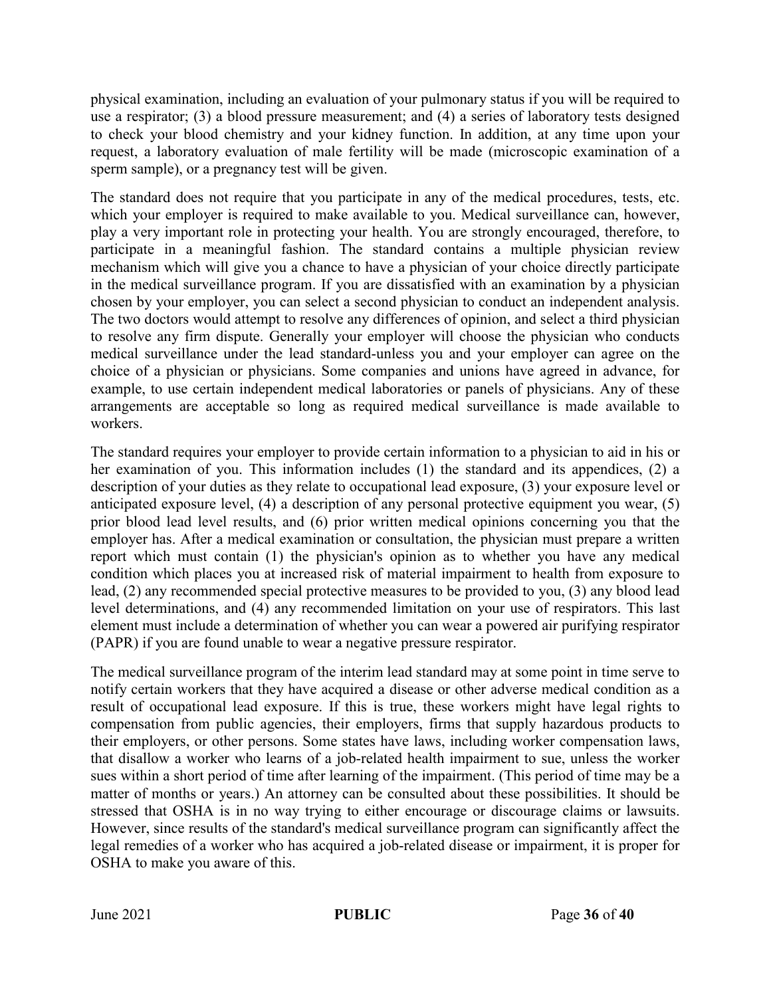physical examination, including an evaluation of your pulmonary status if you will be required to use a respirator; (3) a blood pressure measurement; and (4) a series of laboratory tests designed to check your blood chemistry and your kidney function. In addition, at any time upon your request, a laboratory evaluation of male fertility will be made (microscopic examination of a sperm sample), or a pregnancy test will be given.

The standard does not require that you participate in any of the medical procedures, tests, etc. which your employer is required to make available to you. Medical surveillance can, however, play a very important role in protecting your health. You are strongly encouraged, therefore, to participate in a meaningful fashion. The standard contains a multiple physician review mechanism which will give you a chance to have a physician of your choice directly participate in the medical surveillance program. If you are dissatisfied with an examination by a physician chosen by your employer, you can select a second physician to conduct an independent analysis. The two doctors would attempt to resolve any differences of opinion, and select a third physician to resolve any firm dispute. Generally your employer will choose the physician who conducts medical surveillance under the lead standard-unless you and your employer can agree on the choice of a physician or physicians. Some companies and unions have agreed in advance, for example, to use certain independent medical laboratories or panels of physicians. Any of these arrangements are acceptable so long as required medical surveillance is made available to workers.

The standard requires your employer to provide certain information to a physician to aid in his or her examination of you. This information includes (1) the standard and its appendices, (2) a description of your duties as they relate to occupational lead exposure, (3) your exposure level or anticipated exposure level, (4) a description of any personal protective equipment you wear, (5) prior blood lead level results, and (6) prior written medical opinions concerning you that the employer has. After a medical examination or consultation, the physician must prepare a written report which must contain (1) the physician's opinion as to whether you have any medical condition which places you at increased risk of material impairment to health from exposure to lead, (2) any recommended special protective measures to be provided to you, (3) any blood lead level determinations, and (4) any recommended limitation on your use of respirators. This last element must include a determination of whether you can wear a powered air purifying respirator (PAPR) if you are found unable to wear a negative pressure respirator.

The medical surveillance program of the interim lead standard may at some point in time serve to notify certain workers that they have acquired a disease or other adverse medical condition as a result of occupational lead exposure. If this is true, these workers might have legal rights to compensation from public agencies, their employers, firms that supply hazardous products to their employers, or other persons. Some states have laws, including worker compensation laws, that disallow a worker who learns of a job-related health impairment to sue, unless the worker sues within a short period of time after learning of the impairment. (This period of time may be a matter of months or years.) An attorney can be consulted about these possibilities. It should be stressed that OSHA is in no way trying to either encourage or discourage claims or lawsuits. However, since results of the standard's medical surveillance program can significantly affect the legal remedies of a worker who has acquired a job-related disease or impairment, it is proper for OSHA to make you aware of this.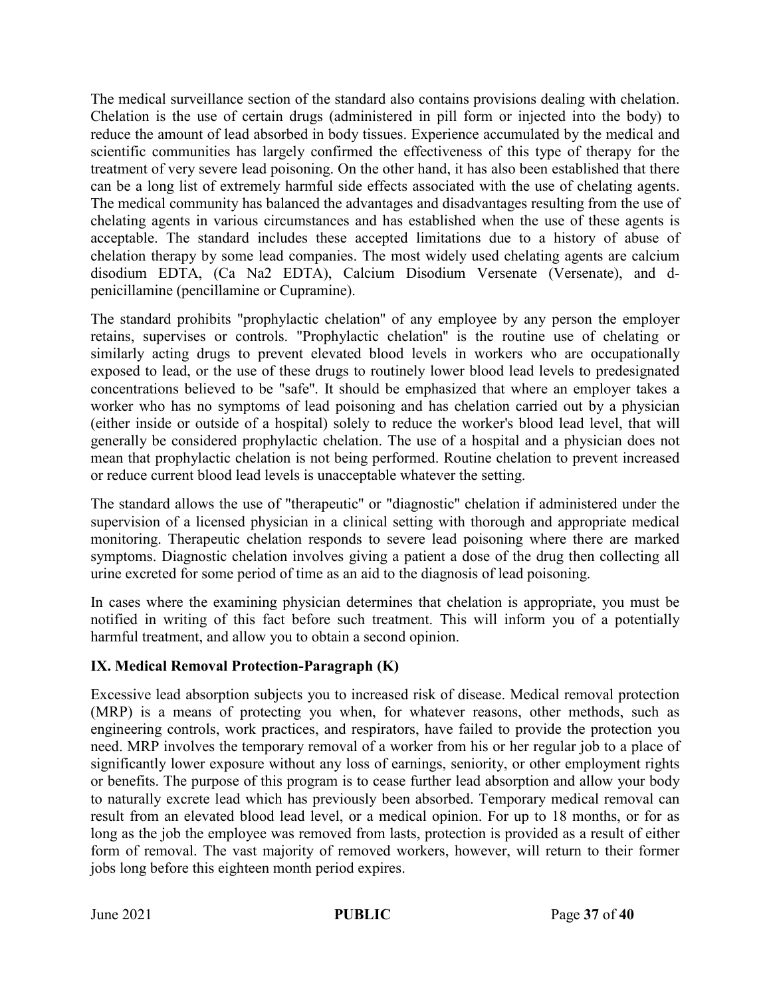The medical surveillance section of the standard also contains provisions dealing with chelation. Chelation is the use of certain drugs (administered in pill form or injected into the body) to reduce the amount of lead absorbed in body tissues. Experience accumulated by the medical and scientific communities has largely confirmed the effectiveness of this type of therapy for the treatment of very severe lead poisoning. On the other hand, it has also been established that there can be a long list of extremely harmful side effects associated with the use of chelating agents. The medical community has balanced the advantages and disadvantages resulting from the use of chelating agents in various circumstances and has established when the use of these agents is acceptable. The standard includes these accepted limitations due to a history of abuse of chelation therapy by some lead companies. The most widely used chelating agents are calcium disodium EDTA, (Ca Na2 EDTA), Calcium Disodium Versenate (Versenate), and dpenicillamine (pencillamine or Cupramine).

The standard prohibits "prophylactic chelation'' of any employee by any person the employer retains, supervises or controls. "Prophylactic chelation'' is the routine use of chelating or similarly acting drugs to prevent elevated blood levels in workers who are occupationally exposed to lead, or the use of these drugs to routinely lower blood lead levels to predesignated concentrations believed to be "safe''. It should be emphasized that where an employer takes a worker who has no symptoms of lead poisoning and has chelation carried out by a physician (either inside or outside of a hospital) solely to reduce the worker's blood lead level, that will generally be considered prophylactic chelation. The use of a hospital and a physician does not mean that prophylactic chelation is not being performed. Routine chelation to prevent increased or reduce current blood lead levels is unacceptable whatever the setting.

The standard allows the use of "therapeutic'' or "diagnostic'' chelation if administered under the supervision of a licensed physician in a clinical setting with thorough and appropriate medical monitoring. Therapeutic chelation responds to severe lead poisoning where there are marked symptoms. Diagnostic chelation involves giving a patient a dose of the drug then collecting all urine excreted for some period of time as an aid to the diagnosis of lead poisoning.

In cases where the examining physician determines that chelation is appropriate, you must be notified in writing of this fact before such treatment. This will inform you of a potentially harmful treatment, and allow you to obtain a second opinion.

## **IX. Medical Removal Protection-Paragraph (K)**

Excessive lead absorption subjects you to increased risk of disease. Medical removal protection (MRP) is a means of protecting you when, for whatever reasons, other methods, such as engineering controls, work practices, and respirators, have failed to provide the protection you need. MRP involves the temporary removal of a worker from his or her regular job to a place of significantly lower exposure without any loss of earnings, seniority, or other employment rights or benefits. The purpose of this program is to cease further lead absorption and allow your body to naturally excrete lead which has previously been absorbed. Temporary medical removal can result from an elevated blood lead level, or a medical opinion. For up to 18 months, or for as long as the job the employee was removed from lasts, protection is provided as a result of either form of removal. The vast majority of removed workers, however, will return to their former jobs long before this eighteen month period expires.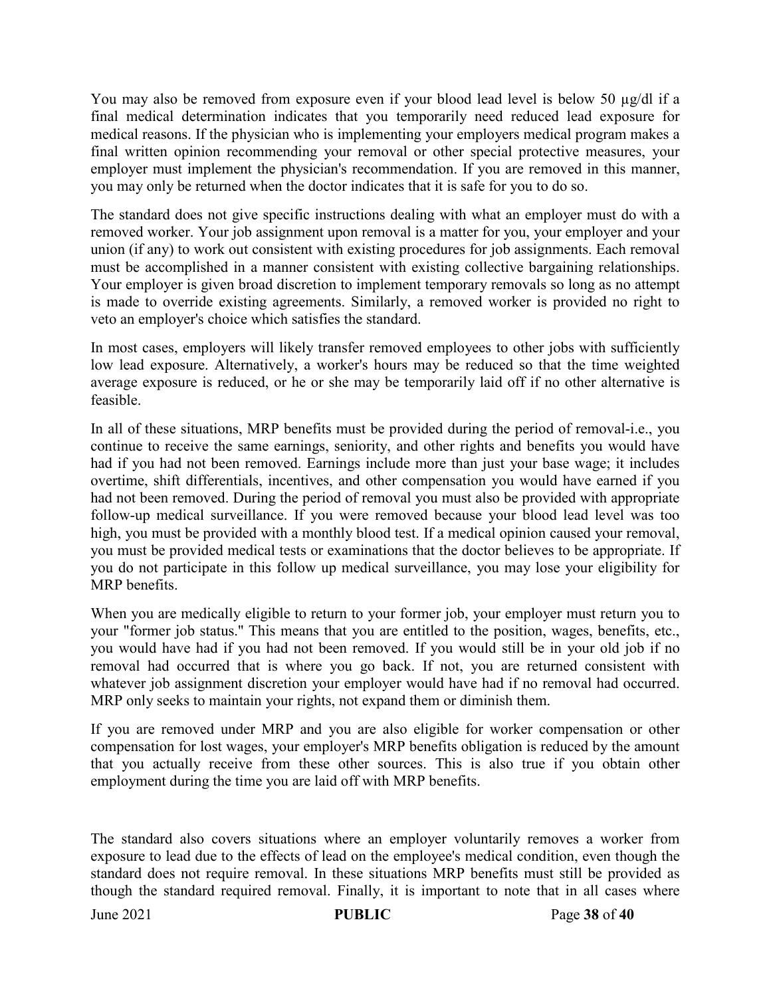You may also be removed from exposure even if your blood lead level is below 50 µg/dl if a final medical determination indicates that you temporarily need reduced lead exposure for medical reasons. If the physician who is implementing your employers medical program makes a final written opinion recommending your removal or other special protective measures, your employer must implement the physician's recommendation. If you are removed in this manner, you may only be returned when the doctor indicates that it is safe for you to do so.

The standard does not give specific instructions dealing with what an employer must do with a removed worker. Your job assignment upon removal is a matter for you, your employer and your union (if any) to work out consistent with existing procedures for job assignments. Each removal must be accomplished in a manner consistent with existing collective bargaining relationships. Your employer is given broad discretion to implement temporary removals so long as no attempt is made to override existing agreements. Similarly, a removed worker is provided no right to veto an employer's choice which satisfies the standard.

In most cases, employers will likely transfer removed employees to other jobs with sufficiently low lead exposure. Alternatively, a worker's hours may be reduced so that the time weighted average exposure is reduced, or he or she may be temporarily laid off if no other alternative is feasible.

In all of these situations, MRP benefits must be provided during the period of removal-i.e., you continue to receive the same earnings, seniority, and other rights and benefits you would have had if you had not been removed. Earnings include more than just your base wage; it includes overtime, shift differentials, incentives, and other compensation you would have earned if you had not been removed. During the period of removal you must also be provided with appropriate follow-up medical surveillance. If you were removed because your blood lead level was too high, you must be provided with a monthly blood test. If a medical opinion caused your removal, you must be provided medical tests or examinations that the doctor believes to be appropriate. If you do not participate in this follow up medical surveillance, you may lose your eligibility for MRP benefits.

When you are medically eligible to return to your former job, your employer must return you to your "former job status.'' This means that you are entitled to the position, wages, benefits, etc., you would have had if you had not been removed. If you would still be in your old job if no removal had occurred that is where you go back. If not, you are returned consistent with whatever job assignment discretion your employer would have had if no removal had occurred. MRP only seeks to maintain your rights, not expand them or diminish them.

If you are removed under MRP and you are also eligible for worker compensation or other compensation for lost wages, your employer's MRP benefits obligation is reduced by the amount that you actually receive from these other sources. This is also true if you obtain other employment during the time you are laid off with MRP benefits.

The standard also covers situations where an employer voluntarily removes a worker from exposure to lead due to the effects of lead on the employee's medical condition, even though the standard does not require removal. In these situations MRP benefits must still be provided as though the standard required removal. Finally, it is important to note that in all cases where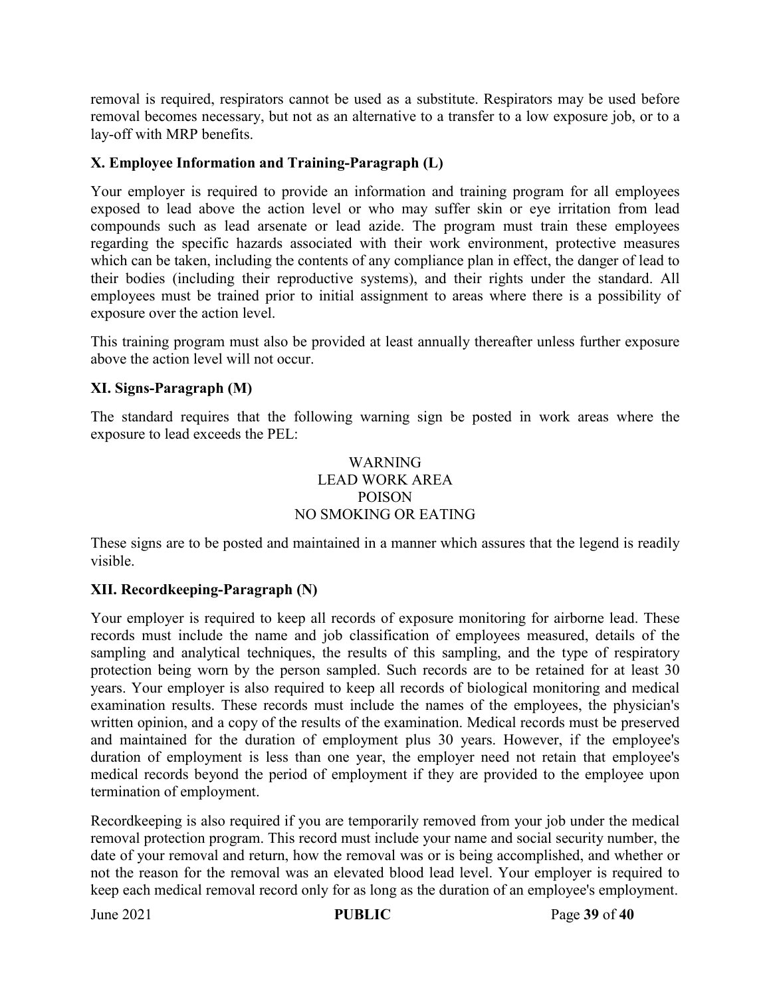removal is required, respirators cannot be used as a substitute. Respirators may be used before removal becomes necessary, but not as an alternative to a transfer to a low exposure job, or to a lay-off with MRP benefits.

#### **X. Employee Information and Training-Paragraph (L)**

Your employer is required to provide an information and training program for all employees exposed to lead above the action level or who may suffer skin or eye irritation from lead compounds such as lead arsenate or lead azide. The program must train these employees regarding the specific hazards associated with their work environment, protective measures which can be taken, including the contents of any compliance plan in effect, the danger of lead to their bodies (including their reproductive systems), and their rights under the standard. All employees must be trained prior to initial assignment to areas where there is a possibility of exposure over the action level.

This training program must also be provided at least annually thereafter unless further exposure above the action level will not occur.

### **XI. Signs-Paragraph (M)**

The standard requires that the following warning sign be posted in work areas where the exposure to lead exceeds the PEL:

#### WARNING LEAD WORK AREA POISON NO SMOKING OR EATING

These signs are to be posted and maintained in a manner which assures that the legend is readily visible.

## **XII. Recordkeeping-Paragraph (N)**

Your employer is required to keep all records of exposure monitoring for airborne lead. These records must include the name and job classification of employees measured, details of the sampling and analytical techniques, the results of this sampling, and the type of respiratory protection being worn by the person sampled. Such records are to be retained for at least 30 years. Your employer is also required to keep all records of biological monitoring and medical examination results. These records must include the names of the employees, the physician's written opinion, and a copy of the results of the examination. Medical records must be preserved and maintained for the duration of employment plus 30 years. However, if the employee's duration of employment is less than one year, the employer need not retain that employee's medical records beyond the period of employment if they are provided to the employee upon termination of employment.

Recordkeeping is also required if you are temporarily removed from your job under the medical removal protection program. This record must include your name and social security number, the date of your removal and return, how the removal was or is being accomplished, and whether or not the reason for the removal was an elevated blood lead level. Your employer is required to keep each medical removal record only for as long as the duration of an employee's employment.